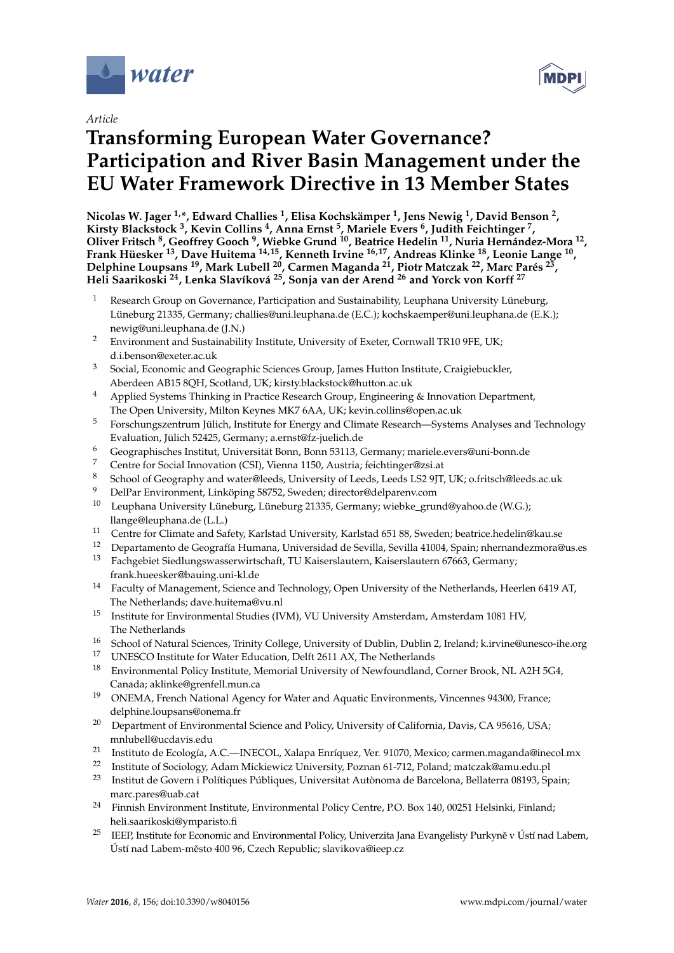

*Article*

# **Transforming European Water Governance? Participation and River Basin Management under the EU Water Framework Directive in 13 Member States**

**Nicolas W. Jager 1,\*, Edward Challies <sup>1</sup> , Elisa Kochskämper <sup>1</sup> , Jens Newig <sup>1</sup> , David Benson <sup>2</sup> , Kirsty Blackstock <sup>3</sup> , Kevin Collins <sup>4</sup> , Anna Ernst <sup>5</sup> , Mariele Evers <sup>6</sup> , Judith Feichtinger <sup>7</sup> , Oliver Fritsch <sup>8</sup> , Geoffrey Gooch <sup>9</sup> , Wiebke Grund <sup>10</sup>, Beatrice Hedelin <sup>11</sup>, Nuria Hernández-Mora <sup>12</sup> , Frank Hüesker <sup>13</sup>, Dave Huitema 14,15, Kenneth Irvine 16,17, Andreas Klinke <sup>18</sup>, Leonie Lange <sup>10</sup> , Delphine Loupsans <sup>19</sup>, Mark Lubell <sup>20</sup>, Carmen Maganda <sup>21</sup>, Piotr Matczak <sup>22</sup>, Marc Parés <sup>23</sup> , Heli Saarikoski <sup>24</sup>, Lenka Slavíková <sup>25</sup>, Sonja van der Arend <sup>26</sup> and Yorck von Korff <sup>27</sup>**

- Research Group on Governance, Participation and Sustainability, Leuphana University Lüneburg, Lüneburg 21335, Germany; challies@uni.leuphana.de (E.C.); kochskaemper@uni.leuphana.de (E.K.); newig@uni.leuphana.de (J.N.)
- <sup>2</sup> Environment and Sustainability Institute, University of Exeter, Cornwall TR10 9FE, UK; d.i.benson@exeter.ac.uk
- <sup>3</sup> Social, Economic and Geographic Sciences Group, James Hutton Institute, Craigiebuckler, Aberdeen AB15 8QH, Scotland, UK; kirsty.blackstock@hutton.ac.uk
- <sup>4</sup> Applied Systems Thinking in Practice Research Group, Engineering & Innovation Department, The Open University, Milton Keynes MK7 6AA, UK; kevin.collins@open.ac.uk
- <sup>5</sup> Forschungszentrum Jülich, Institute for Energy and Climate Research—Systems Analyses and Technology Evaluation, Jülich 52425, Germany; a.ernst@fz-juelich.de
- <sup>6</sup> Geographisches Institut, Universität Bonn, Bonn 53113, Germany; mariele.evers@uni-bonn.de
- <sup>7</sup> Centre for Social Innovation (CSI), Vienna 1150, Austria; feichtinger@zsi.at
- <sup>8</sup> School of Geography and water@leeds, University of Leeds, Leeds LS2 9JT, UK; o.fritsch@leeds.ac.uk
- <sup>9</sup> DelPar Environment, Linköping 58752, Sweden; director@delparenv.com
- <sup>10</sup> Leuphana University Lüneburg, Lüneburg 21335, Germany; wiebke\_grund@yahoo.de (W.G.); llange@leuphana.de (L.L.)
- <sup>11</sup> Centre for Climate and Safety, Karlstad University, Karlstad 651 88, Sweden; beatrice.hedelin@kau.se
- <sup>12</sup> Departamento de Geografía Humana, Universidad de Sevilla, Sevilla 41004, Spain; nhernandezmora@us.es
- <sup>13</sup> Fachgebiet Siedlungswasserwirtschaft, TU Kaiserslautern, Kaiserslautern 67663, Germany; frank.hueesker@bauing.uni-kl.de
- <sup>14</sup> Faculty of Management, Science and Technology, Open University of the Netherlands, Heerlen 6419 AT, The Netherlands; dave.huitema@vu.nl
- <sup>15</sup> Institute for Environmental Studies (IVM), VU University Amsterdam, Amsterdam 1081 HV, The Netherlands
- <sup>16</sup> School of Natural Sciences, Trinity College, University of Dublin, Dublin 2, Ireland; k.irvine@unesco-ihe.org<br><sup>17</sup> JNESCO Institute for Water Education, Deltt 2611 AX. The Nath splan de
- <sup>17</sup> UNESCO Institute for Water Education, Delft 2611 AX, The Netherlands
- <sup>18</sup> Environmental Policy Institute, Memorial University of Newfoundland, Corner Brook, NL A2H 5G4, Canada; aklinke@grenfell.mun.ca
- <sup>19</sup> ONEMA, French National Agency for Water and Aquatic Environments, Vincennes 94300, France; delphine.loupsans@onema.fr
- <sup>20</sup> Department of Environmental Science and Policy, University of California, Davis, CA 95616, USA; mnlubell@ucdavis.edu
- 21 Instituto de Ecología, A.C.—INECOL, Xalapa Enríquez, Ver. 91070, Mexico; carmen.maganda@inecol.mx
- <sup>22</sup> Institute of Sociology, Adam Mickiewicz University, Poznan 61-712, Poland; matczak@amu.edu.pl<br><sup>23</sup> Institutede Consumi: Políticuse Półdianse, Universityt Authrores de Penedane, Pollateur 09103, Sp
- <sup>23</sup> Institut de Govern i Polítiques Públiques, Universitat Autònoma de Barcelona, Bellaterra 08193, Spain; marc.pares@uab.cat
- <sup>24</sup> Finnish Environment Institute, Environmental Policy Centre, P.O. Box 140, 00251 Helsinki, Finland; heli.saarikoski@ymparisto.fi
- <sup>25</sup> IEEP, Institute for Economic and Environmental Policy, Univerzita Jana Evangelisty Purkyně v Ústí nad Labem, Ústí nad Labem-město 400 96, Czech Republic; slavikova@ieep.cz

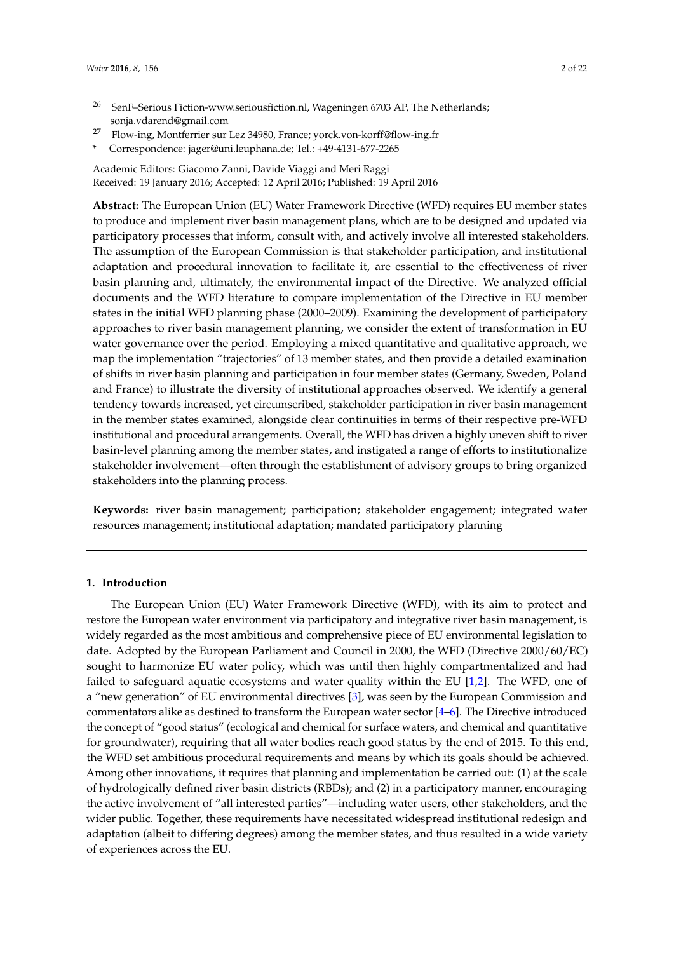- <sup>26</sup> SenF–Serious Fiction-www.seriousfiction.nl, Wageningen 6703 AP, The Netherlands; sonja.vdarend@gmail.com
- <sup>27</sup> Flow-ing, Montferrier sur Lez 34980, France; yorck.von-korff@flow-ing.fr
- **\*** Correspondence: jager@uni.leuphana.de; Tel.: +49-4131-677-2265

Academic Editors: Giacomo Zanni, Davide Viaggi and Meri Raggi Received: 19 January 2016; Accepted: 12 April 2016; Published: 19 April 2016

**Abstract:** The European Union (EU) Water Framework Directive (WFD) requires EU member states to produce and implement river basin management plans, which are to be designed and updated via participatory processes that inform, consult with, and actively involve all interested stakeholders. The assumption of the European Commission is that stakeholder participation, and institutional adaptation and procedural innovation to facilitate it, are essential to the effectiveness of river basin planning and, ultimately, the environmental impact of the Directive. We analyzed official documents and the WFD literature to compare implementation of the Directive in EU member states in the initial WFD planning phase (2000–2009). Examining the development of participatory approaches to river basin management planning, we consider the extent of transformation in EU water governance over the period. Employing a mixed quantitative and qualitative approach, we map the implementation "trajectories" of 13 member states, and then provide a detailed examination of shifts in river basin planning and participation in four member states (Germany, Sweden, Poland and France) to illustrate the diversity of institutional approaches observed. We identify a general tendency towards increased, yet circumscribed, stakeholder participation in river basin management in the member states examined, alongside clear continuities in terms of their respective pre-WFD institutional and procedural arrangements. Overall, the WFD has driven a highly uneven shift to river basin-level planning among the member states, and instigated a range of efforts to institutionalize stakeholder involvement—often through the establishment of advisory groups to bring organized stakeholders into the planning process.

**Keywords:** river basin management; participation; stakeholder engagement; integrated water resources management; institutional adaptation; mandated participatory planning

## **1. Introduction**

The European Union (EU) Water Framework Directive (WFD), with its aim to protect and restore the European water environment via participatory and integrative river basin management, is widely regarded as the most ambitious and comprehensive piece of EU environmental legislation to date. Adopted by the European Parliament and Council in 2000, the WFD (Directive 2000/60/EC) sought to harmonize EU water policy, which was until then highly compartmentalized and had failed to safeguard aquatic ecosystems and water quality within the EU [\[1](#page-18-0)[,2\]](#page-18-1). The WFD, one of a "new generation" of EU environmental directives [\[3\]](#page-18-2), was seen by the European Commission and commentators alike as destined to transform the European water sector [\[4](#page-18-3)[–6\]](#page-18-4). The Directive introduced the concept of "good status" (ecological and chemical for surface waters, and chemical and quantitative for groundwater), requiring that all water bodies reach good status by the end of 2015. To this end, the WFD set ambitious procedural requirements and means by which its goals should be achieved. Among other innovations, it requires that planning and implementation be carried out: (1) at the scale of hydrologically defined river basin districts (RBDs); and (2) in a participatory manner, encouraging the active involvement of "all interested parties"—including water users, other stakeholders, and the wider public. Together, these requirements have necessitated widespread institutional redesign and adaptation (albeit to differing degrees) among the member states, and thus resulted in a wide variety of experiences across the EU.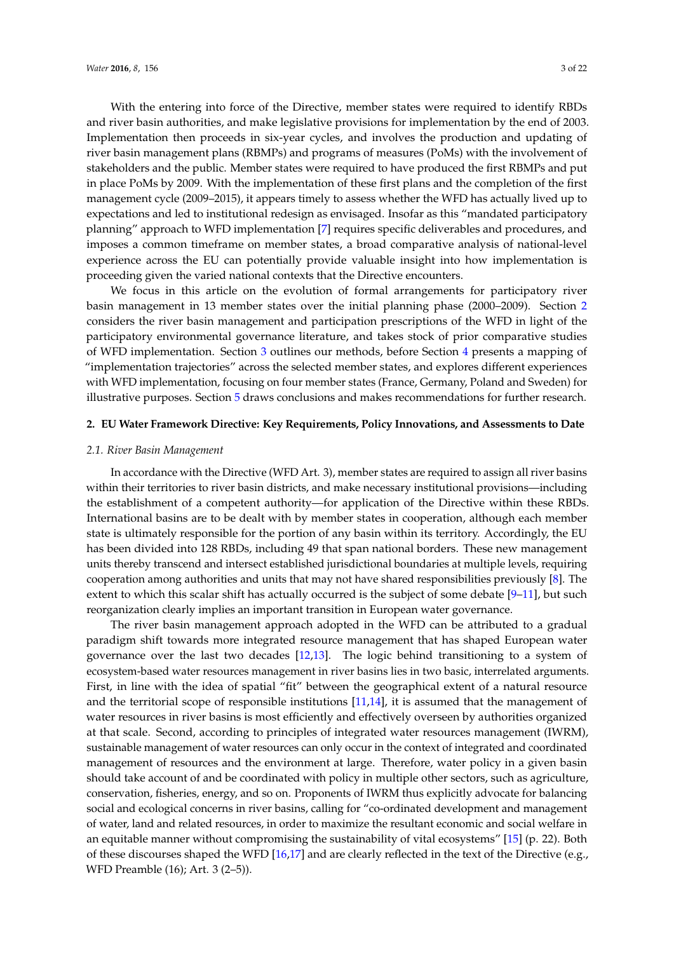With the entering into force of the Directive, member states were required to identify RBDs and river basin authorities, and make legislative provisions for implementation by the end of 2003. Implementation then proceeds in six-year cycles, and involves the production and updating of river basin management plans (RBMPs) and programs of measures (PoMs) with the involvement of stakeholders and the public. Member states were required to have produced the first RBMPs and put in place PoMs by 2009. With the implementation of these first plans and the completion of the first management cycle (2009–2015), it appears timely to assess whether the WFD has actually lived up to expectations and led to institutional redesign as envisaged. Insofar as this "mandated participatory planning" approach to WFD implementation [\[7\]](#page-18-5) requires specific deliverables and procedures, and imposes a common timeframe on member states, a broad comparative analysis of national-level experience across the EU can potentially provide valuable insight into how implementation is proceeding given the varied national contexts that the Directive encounters.

We focus in this article on the evolution of formal arrangements for participatory river basin management in 13 member states over the initial planning phase (2000–2009). Section [2](#page-2-0) considers the river basin management and participation prescriptions of the WFD in light of the participatory environmental governance literature, and takes stock of prior comparative studies of WFD implementation. Section [3](#page-5-0) outlines our methods, before Section [4](#page-7-0) presents a mapping of "implementation trajectories" across the selected member states, and explores different experiences with WFD implementation, focusing on four member states (France, Germany, Poland and Sweden) for illustrative purposes. Section [5](#page-13-0) draws conclusions and makes recommendations for further research.

#### <span id="page-2-0"></span>**2. EU Water Framework Directive: Key Requirements, Policy Innovations, and Assessments to Date**

### *2.1. River Basin Management*

In accordance with the Directive (WFD Art. 3), member states are required to assign all river basins within their territories to river basin districts, and make necessary institutional provisions—including the establishment of a competent authority—for application of the Directive within these RBDs. International basins are to be dealt with by member states in cooperation, although each member state is ultimately responsible for the portion of any basin within its territory. Accordingly, the EU has been divided into 128 RBDs, including 49 that span national borders. These new management units thereby transcend and intersect established jurisdictional boundaries at multiple levels, requiring cooperation among authorities and units that may not have shared responsibilities previously [\[8\]](#page-18-6). The extent to which this scalar shift has actually occurred is the subject of some debate [\[9–](#page-18-7)[11\]](#page-18-8), but such reorganization clearly implies an important transition in European water governance.

The river basin management approach adopted in the WFD can be attributed to a gradual paradigm shift towards more integrated resource management that has shaped European water governance over the last two decades [\[12](#page-18-9)[,13\]](#page-18-10). The logic behind transitioning to a system of ecosystem-based water resources management in river basins lies in two basic, interrelated arguments. First, in line with the idea of spatial "fit" between the geographical extent of a natural resource and the territorial scope of responsible institutions [\[11,](#page-18-8)[14\]](#page-18-11), it is assumed that the management of water resources in river basins is most efficiently and effectively overseen by authorities organized at that scale. Second, according to principles of integrated water resources management (IWRM), sustainable management of water resources can only occur in the context of integrated and coordinated management of resources and the environment at large. Therefore, water policy in a given basin should take account of and be coordinated with policy in multiple other sectors, such as agriculture, conservation, fisheries, energy, and so on. Proponents of IWRM thus explicitly advocate for balancing social and ecological concerns in river basins, calling for "co-ordinated development and management of water, land and related resources, in order to maximize the resultant economic and social welfare in an equitable manner without compromising the sustainability of vital ecosystems" [\[15\]](#page-18-12) (p. 22). Both of these discourses shaped the WFD [\[16](#page-18-13)[,17\]](#page-18-14) and are clearly reflected in the text of the Directive (e.g., WFD Preamble (16); Art. 3 (2–5)).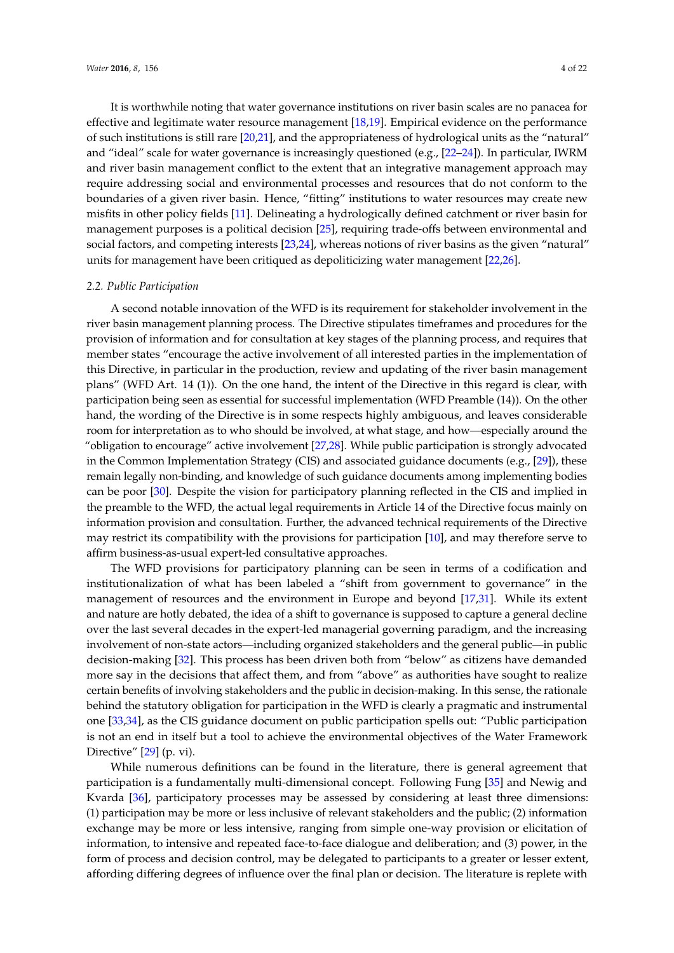It is worthwhile noting that water governance institutions on river basin scales are no panacea for effective and legitimate water resource management [\[18](#page-18-15)[,19\]](#page-18-16). Empirical evidence on the performance of such institutions is still rare [\[20](#page-18-17)[,21\]](#page-18-18), and the appropriateness of hydrological units as the "natural" and "ideal" scale for water governance is increasingly questioned (e.g., [\[22](#page-18-19)[–24\]](#page-18-20)). In particular, IWRM and river basin management conflict to the extent that an integrative management approach may require addressing social and environmental processes and resources that do not conform to the boundaries of a given river basin. Hence, "fitting" institutions to water resources may create new misfits in other policy fields [\[11\]](#page-18-8). Delineating a hydrologically defined catchment or river basin for management purposes is a political decision [\[25\]](#page-19-0), requiring trade-offs between environmental and social factors, and competing interests [\[23](#page-18-21)[,24\]](#page-18-20), whereas notions of river basins as the given "natural" units for management have been critiqued as depoliticizing water management [\[22,](#page-18-19)[26\]](#page-19-1).

#### *2.2. Public Participation*

A second notable innovation of the WFD is its requirement for stakeholder involvement in the river basin management planning process. The Directive stipulates timeframes and procedures for the provision of information and for consultation at key stages of the planning process, and requires that member states "encourage the active involvement of all interested parties in the implementation of this Directive, in particular in the production, review and updating of the river basin management plans" (WFD Art. 14 (1)). On the one hand, the intent of the Directive in this regard is clear, with participation being seen as essential for successful implementation (WFD Preamble (14)). On the other hand, the wording of the Directive is in some respects highly ambiguous, and leaves considerable room for interpretation as to who should be involved, at what stage, and how—especially around the "obligation to encourage" active involvement [\[27](#page-19-2)[,28\]](#page-19-3). While public participation is strongly advocated in the Common Implementation Strategy (CIS) and associated guidance documents (e.g., [\[29\]](#page-19-4)), these remain legally non-binding, and knowledge of such guidance documents among implementing bodies can be poor [\[30\]](#page-19-5). Despite the vision for participatory planning reflected in the CIS and implied in the preamble to the WFD, the actual legal requirements in Article 14 of the Directive focus mainly on information provision and consultation. Further, the advanced technical requirements of the Directive may restrict its compatibility with the provisions for participation [\[10\]](#page-18-22), and may therefore serve to affirm business-as-usual expert-led consultative approaches.

The WFD provisions for participatory planning can be seen in terms of a codification and institutionalization of what has been labeled a "shift from government to governance" in the management of resources and the environment in Europe and beyond [\[17](#page-18-14)[,31\]](#page-19-6). While its extent and nature are hotly debated, the idea of a shift to governance is supposed to capture a general decline over the last several decades in the expert-led managerial governing paradigm, and the increasing involvement of non-state actors—including organized stakeholders and the general public—in public decision-making [\[32\]](#page-19-7). This process has been driven both from "below" as citizens have demanded more say in the decisions that affect them, and from "above" as authorities have sought to realize certain benefits of involving stakeholders and the public in decision-making. In this sense, the rationale behind the statutory obligation for participation in the WFD is clearly a pragmatic and instrumental one [\[33](#page-19-8)[,34\]](#page-19-9), as the CIS guidance document on public participation spells out: "Public participation is not an end in itself but a tool to achieve the environmental objectives of the Water Framework Directive" [\[29\]](#page-19-4) (p. vi).

While numerous definitions can be found in the literature, there is general agreement that participation is a fundamentally multi-dimensional concept. Following Fung [\[35\]](#page-19-10) and Newig and Kvarda [\[36\]](#page-19-11), participatory processes may be assessed by considering at least three dimensions: (1) participation may be more or less inclusive of relevant stakeholders and the public; (2) information exchange may be more or less intensive, ranging from simple one-way provision or elicitation of information, to intensive and repeated face-to-face dialogue and deliberation; and (3) power, in the form of process and decision control, may be delegated to participants to a greater or lesser extent, affording differing degrees of influence over the final plan or decision. The literature is replete with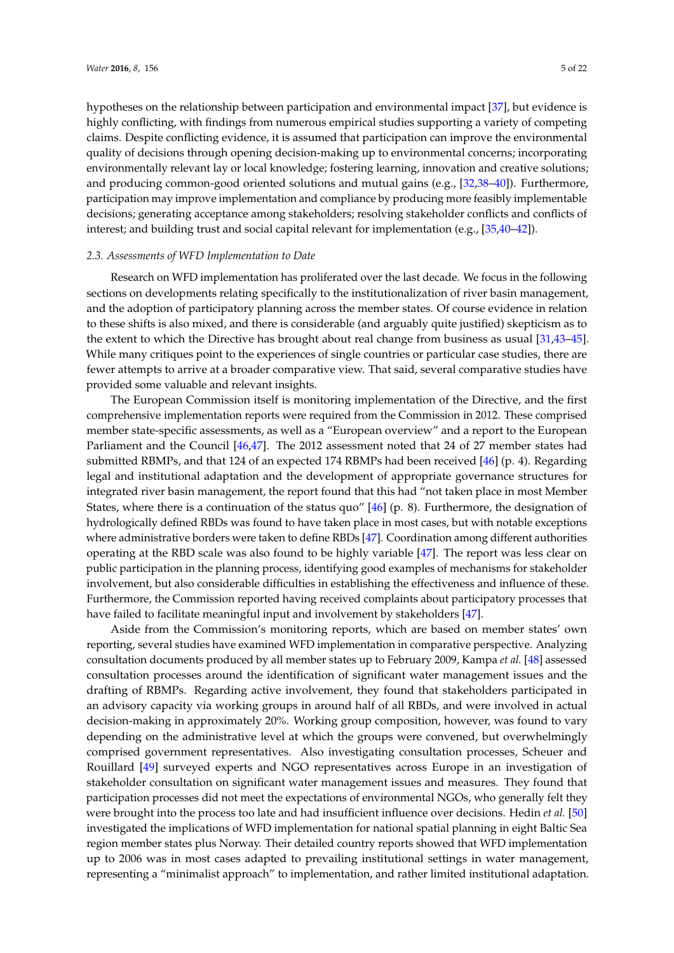hypotheses on the relationship between participation and environmental impact [\[37\]](#page-19-12), but evidence is highly conflicting, with findings from numerous empirical studies supporting a variety of competing claims. Despite conflicting evidence, it is assumed that participation can improve the environmental quality of decisions through opening decision-making up to environmental concerns; incorporating environmentally relevant lay or local knowledge; fostering learning, innovation and creative solutions; and producing common-good oriented solutions and mutual gains (e.g., [\[32](#page-19-7)[,38–](#page-19-13)[40\]](#page-19-14)). Furthermore, participation may improve implementation and compliance by producing more feasibly implementable decisions; generating acceptance among stakeholders; resolving stakeholder conflicts and conflicts of interest; and building trust and social capital relevant for implementation (e.g., [\[35,](#page-19-10)[40](#page-19-14)[–42\]](#page-19-15)).

### *2.3. Assessments of WFD Implementation to Date*

Research on WFD implementation has proliferated over the last decade. We focus in the following sections on developments relating specifically to the institutionalization of river basin management, and the adoption of participatory planning across the member states. Of course evidence in relation to these shifts is also mixed, and there is considerable (and arguably quite justified) skepticism as to the extent to which the Directive has brought about real change from business as usual [\[31,](#page-19-6)[43–](#page-19-16)[45\]](#page-19-17). While many critiques point to the experiences of single countries or particular case studies, there are fewer attempts to arrive at a broader comparative view. That said, several comparative studies have provided some valuable and relevant insights.

The European Commission itself is monitoring implementation of the Directive, and the first comprehensive implementation reports were required from the Commission in 2012. These comprised member state-specific assessments, as well as a "European overview" and a report to the European Parliament and the Council [\[46,](#page-19-18)[47\]](#page-19-19). The 2012 assessment noted that 24 of 27 member states had submitted RBMPs, and that 124 of an expected 174 RBMPs had been received [\[46\]](#page-19-18) (p. 4). Regarding legal and institutional adaptation and the development of appropriate governance structures for integrated river basin management, the report found that this had "not taken place in most Member States, where there is a continuation of the status quo" [\[46\]](#page-19-18) (p. 8). Furthermore, the designation of hydrologically defined RBDs was found to have taken place in most cases, but with notable exceptions where administrative borders were taken to define RBDs [\[47\]](#page-19-19). Coordination among different authorities operating at the RBD scale was also found to be highly variable [\[47\]](#page-19-19). The report was less clear on public participation in the planning process, identifying good examples of mechanisms for stakeholder involvement, but also considerable difficulties in establishing the effectiveness and influence of these. Furthermore, the Commission reported having received complaints about participatory processes that have failed to facilitate meaningful input and involvement by stakeholders [\[47\]](#page-19-19).

Aside from the Commission's monitoring reports, which are based on member states' own reporting, several studies have examined WFD implementation in comparative perspective. Analyzing consultation documents produced by all member states up to February 2009, Kampa *et al.* [\[48\]](#page-20-0) assessed consultation processes around the identification of significant water management issues and the drafting of RBMPs. Regarding active involvement, they found that stakeholders participated in an advisory capacity via working groups in around half of all RBDs, and were involved in actual decision-making in approximately 20%. Working group composition, however, was found to vary depending on the administrative level at which the groups were convened, but overwhelmingly comprised government representatives. Also investigating consultation processes, Scheuer and Rouillard [\[49\]](#page-20-1) surveyed experts and NGO representatives across Europe in an investigation of stakeholder consultation on significant water management issues and measures. They found that participation processes did not meet the expectations of environmental NGOs, who generally felt they were brought into the process too late and had insufficient influence over decisions. Hedin *et al.* [\[50\]](#page-20-2) investigated the implications of WFD implementation for national spatial planning in eight Baltic Sea region member states plus Norway. Their detailed country reports showed that WFD implementation up to 2006 was in most cases adapted to prevailing institutional settings in water management, representing a "minimalist approach" to implementation, and rather limited institutional adaptation.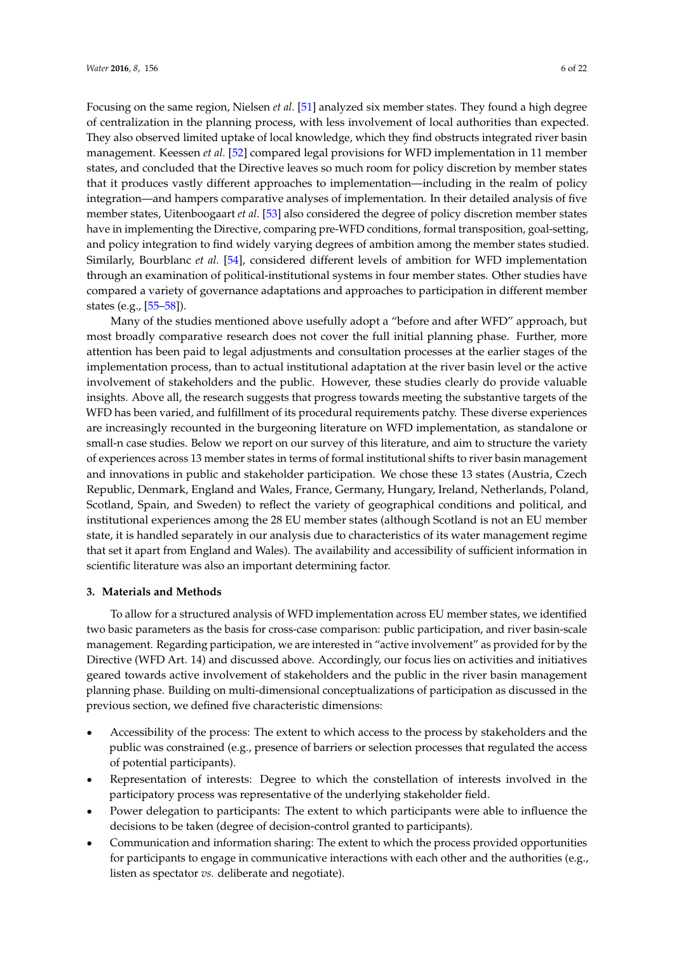Focusing on the same region, Nielsen *et al.* [\[51\]](#page-20-3) analyzed six member states. They found a high degree of centralization in the planning process, with less involvement of local authorities than expected. They also observed limited uptake of local knowledge, which they find obstructs integrated river basin management. Keessen *et al.* [\[52\]](#page-20-4) compared legal provisions for WFD implementation in 11 member states, and concluded that the Directive leaves so much room for policy discretion by member states that it produces vastly different approaches to implementation—including in the realm of policy integration—and hampers comparative analyses of implementation. In their detailed analysis of five member states, Uitenboogaart *et al.* [\[53\]](#page-20-5) also considered the degree of policy discretion member states have in implementing the Directive, comparing pre-WFD conditions, formal transposition, goal-setting, and policy integration to find widely varying degrees of ambition among the member states studied. Similarly, Bourblanc *et al.* [\[54\]](#page-20-6), considered different levels of ambition for WFD implementation through an examination of political-institutional systems in four member states. Other studies have compared a variety of governance adaptations and approaches to participation in different member states (e.g., [\[55–](#page-20-7)[58\]](#page-20-8)).

Many of the studies mentioned above usefully adopt a "before and after WFD" approach, but most broadly comparative research does not cover the full initial planning phase. Further, more attention has been paid to legal adjustments and consultation processes at the earlier stages of the implementation process, than to actual institutional adaptation at the river basin level or the active involvement of stakeholders and the public. However, these studies clearly do provide valuable insights. Above all, the research suggests that progress towards meeting the substantive targets of the WFD has been varied, and fulfillment of its procedural requirements patchy. These diverse experiences are increasingly recounted in the burgeoning literature on WFD implementation, as standalone or small-n case studies. Below we report on our survey of this literature, and aim to structure the variety of experiences across 13 member states in terms of formal institutional shifts to river basin management and innovations in public and stakeholder participation. We chose these 13 states (Austria, Czech Republic, Denmark, England and Wales, France, Germany, Hungary, Ireland, Netherlands, Poland, Scotland, Spain, and Sweden) to reflect the variety of geographical conditions and political, and institutional experiences among the 28 EU member states (although Scotland is not an EU member state, it is handled separately in our analysis due to characteristics of its water management regime that set it apart from England and Wales). The availability and accessibility of sufficient information in scientific literature was also an important determining factor.

#### <span id="page-5-0"></span>**3. Materials and Methods**

To allow for a structured analysis of WFD implementation across EU member states, we identified two basic parameters as the basis for cross-case comparison: public participation, and river basin-scale management. Regarding participation, we are interested in "active involvement" as provided for by the Directive (WFD Art. 14) and discussed above. Accordingly, our focus lies on activities and initiatives geared towards active involvement of stakeholders and the public in the river basin management planning phase. Building on multi-dimensional conceptualizations of participation as discussed in the previous section, we defined five characteristic dimensions:

- ' Accessibility of the process: The extent to which access to the process by stakeholders and the public was constrained (e.g., presence of barriers or selection processes that regulated the access of potential participants).
- Representation of interests: Degree to which the constellation of interests involved in the participatory process was representative of the underlying stakeholder field.
- ' Power delegation to participants: The extent to which participants were able to influence the decisions to be taken (degree of decision-control granted to participants).
- ' Communication and information sharing: The extent to which the process provided opportunities for participants to engage in communicative interactions with each other and the authorities (e.g., listen as spectator *vs.* deliberate and negotiate).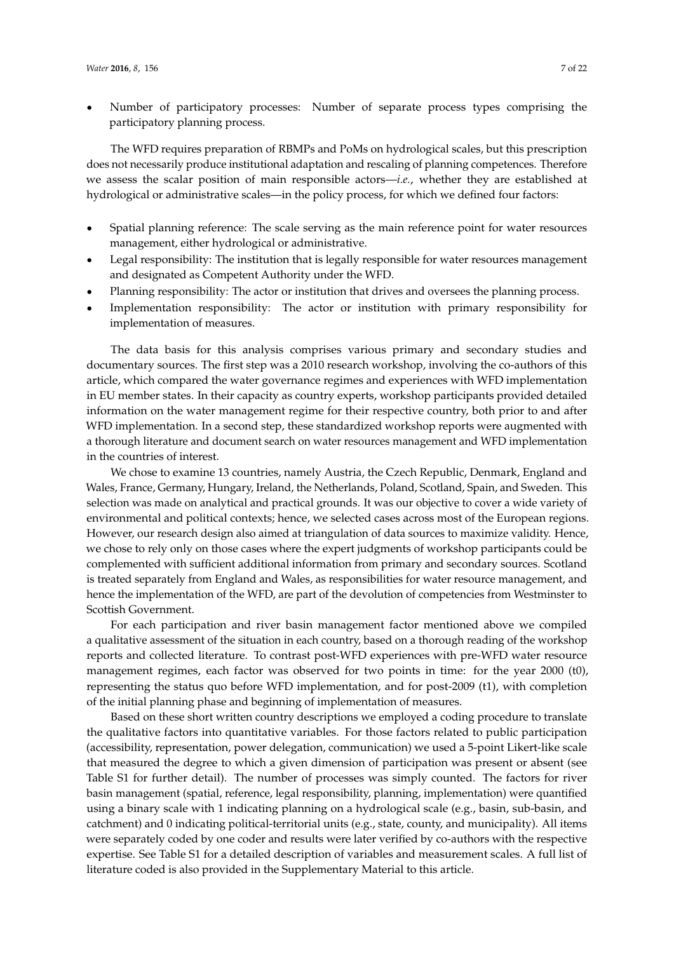' Number of participatory processes: Number of separate process types comprising the participatory planning process.

The WFD requires preparation of RBMPs and PoMs on hydrological scales, but this prescription does not necessarily produce institutional adaptation and rescaling of planning competences. Therefore we assess the scalar position of main responsible actors—*i.e.*, whether they are established at hydrological or administrative scales—in the policy process, for which we defined four factors:

- ' Spatial planning reference: The scale serving as the main reference point for water resources management, either hydrological or administrative.
- ' Legal responsibility: The institution that is legally responsible for water resources management and designated as Competent Authority under the WFD.
- ' Planning responsibility: The actor or institution that drives and oversees the planning process.
- ' Implementation responsibility: The actor or institution with primary responsibility for implementation of measures.

The data basis for this analysis comprises various primary and secondary studies and documentary sources. The first step was a 2010 research workshop, involving the co-authors of this article, which compared the water governance regimes and experiences with WFD implementation in EU member states. In their capacity as country experts, workshop participants provided detailed information on the water management regime for their respective country, both prior to and after WFD implementation. In a second step, these standardized workshop reports were augmented with a thorough literature and document search on water resources management and WFD implementation in the countries of interest.

We chose to examine 13 countries, namely Austria, the Czech Republic, Denmark, England and Wales, France, Germany, Hungary, Ireland, the Netherlands, Poland, Scotland, Spain, and Sweden. This selection was made on analytical and practical grounds. It was our objective to cover a wide variety of environmental and political contexts; hence, we selected cases across most of the European regions. However, our research design also aimed at triangulation of data sources to maximize validity. Hence, we chose to rely only on those cases where the expert judgments of workshop participants could be complemented with sufficient additional information from primary and secondary sources. Scotland is treated separately from England and Wales, as responsibilities for water resource management, and hence the implementation of the WFD, are part of the devolution of competencies from Westminster to Scottish Government.

For each participation and river basin management factor mentioned above we compiled a qualitative assessment of the situation in each country, based on a thorough reading of the workshop reports and collected literature. To contrast post-WFD experiences with pre-WFD water resource management regimes, each factor was observed for two points in time: for the year 2000 (t0), representing the status quo before WFD implementation, and for post-2009 (t1), with completion of the initial planning phase and beginning of implementation of measures.

Based on these short written country descriptions we employed a coding procedure to translate the qualitative factors into quantitative variables. For those factors related to public participation (accessibility, representation, power delegation, communication) we used a 5-point Likert-like scale that measured the degree to which a given dimension of participation was present or absent (see Table S1 for further detail). The number of processes was simply counted. The factors for river basin management (spatial, reference, legal responsibility, planning, implementation) were quantified using a binary scale with 1 indicating planning on a hydrological scale (e.g., basin, sub-basin, and catchment) and 0 indicating political-territorial units (e.g., state, county, and municipality). All items were separately coded by one coder and results were later verified by co-authors with the respective expertise. See Table S1 for a detailed description of variables and measurement scales. A full list of literature coded is also provided in the Supplementary Material to this article.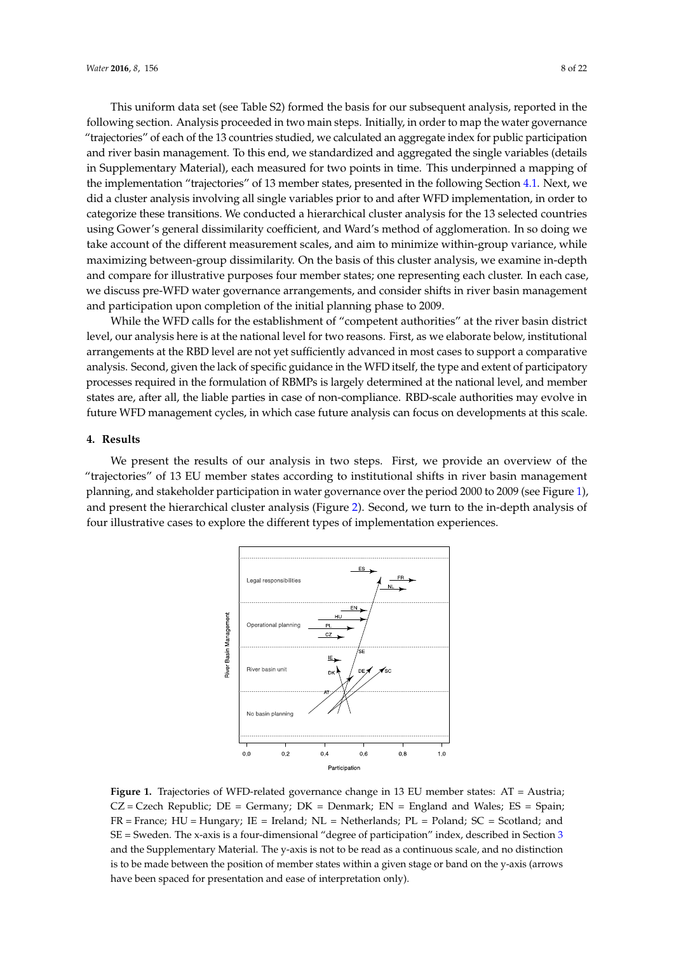This uniform data set (see Table S2) formed the basis for our subsequent analysis, reported in the following section. Analysis proceeded in two main steps. Initially, in order to map the water governance "trajectories" of each of the 13 countries studied, we calculated an aggregate index for public participation and river basin management. To this end, we standardized and aggregated the single variables (details in Supplementary Material), each measured for two points in time. This underpinned a mapping of the implementation "trajectories" of 13 member states, presented in the following Section [4.1.](#page-8-0) Next, we did a cluster analysis involving all single variables prior to and after WFD implementation, in order to categorize these transitions. We conducted a hierarchical cluster analysis for the 13 selected countries using Gower's general dissimilarity coefficient, and Ward's method of agglomeration. In so doing we take account of the different measurement scales, and aim to minimize within-group variance, while maximizing between-group dissimilarity. On the basis of this cluster analysis, we examine in-depth and compare for illustrative purposes four member states; one representing each cluster. In each case, we discuss pre-WFD water governance arrangements, and consider shifts in river basin management and participation upon completion of the initial planning phase to 2009. and the the discrete measurement searcs, and all to minimize which group variate

While the WFD calls for the establishment of "competent authorities" at the river basin district level, our analysis here is at the national level for two reasons. First, as we elaborate below, institutional arrangements at the RBD level are not yet sufficiently advanced in most cases to support a comparative analysis. Second, given the lack of specific guidance in the WFD itself, the type and extent of participatory processes required in the formulation of RBMPs is largely determined at the national level, and member states are, after all, the liable parties in case of non-compliance. RBD-scale authorities may evolve in future WFD management cycles, in which case future analysis can focus on developments at this scale. pe the *WPD* cans for type and extending of participators required in the formulation of RBMPs is largely determined in the formulation of RBMPs is

## <span id="page-7-0"></span>**4. Results**

<span id="page-7-1"></span>We present the results of our analysis in two steps. First, we provide an overview of the "trajectories" of 13 EU member states according to institutional shifts in river basin management We present the results of our analysis in two steps. First, we provide an overview of the planning, and stakeholder participation in water governance over the period 2000 to 2009 (see Figure [1\)](#page-7-1), planning, and stakeholder participation in water governance over the period 2000 to 2009 (see Figure 1), and present the hierarchical cluster analysis (Figure [2\)](#page-8-1). Second, we turn to the in-depth analysis of and present the hierarchical cluster analysis (Figure 2). Second, we turn to the in-depth analysis of four illustrative cases to explore the different types of implementation experiences. four illustrative cases to explore the different types of implementation experiences. tes" of 13 EU member states according to institutional shifts in river basin man



**Figure 1.** Trajectories of WFD-related governance change in 13 EU member states: AT = Austria; **Figure 1.** Trajectories of WFD-related governance change in 13 EU member states: AT = Austria;  $CZ = C$ zech Republic;  $DE = Germany$ ;  $DK = Denmark$ ;  $EN = England$  and Wales;  $ES = Spain$ ;  $\frac{H}{\sqrt{N}}$  = Hungary;  $\frac{H}{\sqrt{N}}$  = Netherlands; PL = Seconds; PL = Seconds; Seconds; Seconds; and SE = Sweden. The Seconds; Seconds; Seconds; Seconds; Seconds; Seconds; Seconds; Seconds; Seconds; Seconds; Seconds; Sec  $FR =$  France;  $HU =$  Hungary;  $IE =$  Ireland;  $NL =$  Netherlands;  $PL =$  Poland;  $SC =$  Scotland; and  $\text{SE}$  = Sweden. The x-axis is a four-dimensional "degree of participation" index, described in Section [3](#page-5-0) and the Supplementary Material. The y-axis is not to be read as a continuous scale, and no distinction is to be made between the position of member states within a given stage or band on the y-axis (arrows have been spaced for presentation and ease of interpretation only).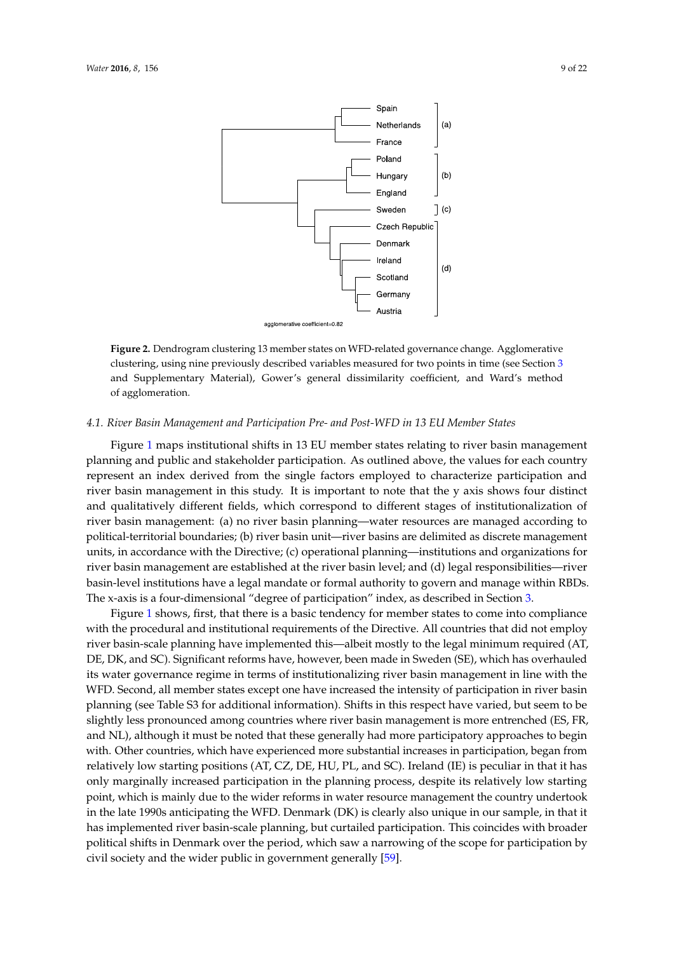<span id="page-8-1"></span>

**Figure 2.** Dendrogram clustering 13 member states on WFD-related governance change. **Figure 2.** Dendrogram clustering 13 member states on WFD-related governance change. Agglomerative clustering, using nine previously described variables measured for two points in time (see Section [3](#page-5-0) and Supplementary Material), Gower's general dissimilarity coefficient, and Ward's method of agglomeration.

## <span id="page-8-0"></span>*4.1. River Basin Management and Participation Pre- and Post-WFD in 13 EU Member States 4.1. River Basin Management and Participation Pre- and Post-WFD in 13 EU Member States*

Figure [1 m](#page-7-1)aps institutional shifts in 13 EU member states relating to river basin management Figure 1 maps institutional shifts in 13 EU member states relating to river basin management planning and public and stakeholder participation. As outlined above, the values for each country planning and public and stakeholder participation. As outlined above, the values for each country represent an index derived from the single factors employed to characterize participation and river basin management in this study. It is important to note that the y axis shows four distinct and qualitatively different fields, which correspond to different stages of institutionalization of river basin management: (a) no river basin planning—water resources are managed according to political-territorial boundaries; (b) river basin unit—river basins are delimited as discrete management units, in accordance with the Directive; (c) operational planning—institutions and organizations for management are established at the river basin level; and (d) legal responsibilities—river basin-level river basin management are established at the river basin level; and (d) legal responsibilities—river basin-level institutions have a legal mandate or formal authority to govern and manage within RBDs. The x-axis is a four-dimensional "degree of participation" index, as described in Section [3.](#page-5-0)

Figure [1 s](#page-7-1)hows, first, that there is a basic tendency for member states to come into compliance Figure 1 shows, first, that there is a basic tendency for member states to come into compliance with the procedural and institutional requirements of the Directive. All countries that did not with the procedural and institutional requirements of the Directive. All countries that did not employ river basin-scale planning have implemented this—albeit mostly to the legal minimum required (AT, DE, DK, and SC). Significant reforms have, however, been made in Sweden (SE), which has overhauled its water governance regime in terms of institutionalizing river basin management in line with the WFD. Second, all member states except one have increased the intensity of participation in river basin planning (see Table S3 for additional information). Shifts in this respect have varied, but seem to be slightly less pronounced among countries where river basin management is more entrenched (ES, FR, and NL), although it must be noted that these generally had more participatory approaches to begin with. Other countries, which have experienced more substantial increases in participation, began from relatively low starting positions (AT, CZ, DE, HU, PL, and SC). Ireland (IE) is peculiar in that it has only marginally increased participation in the planning process, despite its relatively low starting point, which is mainly due to the wider reforms in water resource management the country undertook in the late 1990s anticipating the WFD. Denmark (DK) is clearly also unique in our sample, in that it has implemented river basin-scale planning, but curtailed participation. This coincides with broader political shifts in Denmark over the period, which saw a narrowing of the scope for participation by civil society and the wider public in government generally [\[59\]](#page-20-9).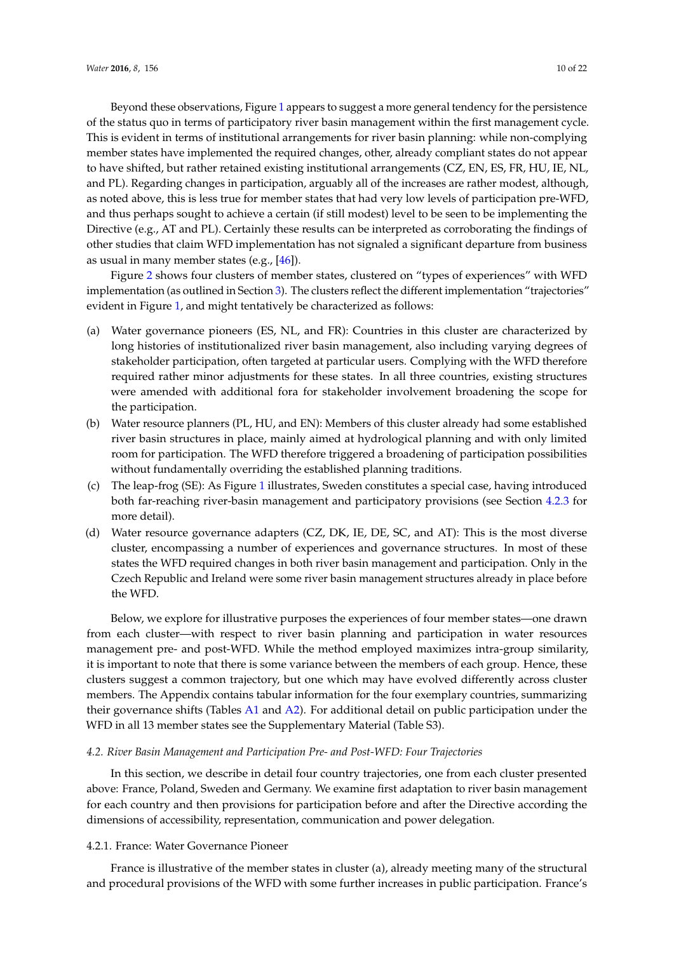Beyond these observations, Figure [1](#page-7-1) appears to suggest a more general tendency for the persistence of the status quo in terms of participatory river basin management within the first management cycle. This is evident in terms of institutional arrangements for river basin planning: while non-complying member states have implemented the required changes, other, already compliant states do not appear to have shifted, but rather retained existing institutional arrangements (CZ, EN, ES, FR, HU, IE, NL, and PL). Regarding changes in participation, arguably all of the increases are rather modest, although,

as noted above, this is less true for member states that had very low levels of participation pre-WFD, and thus perhaps sought to achieve a certain (if still modest) level to be seen to be implementing the Directive (e.g., AT and PL). Certainly these results can be interpreted as corroborating the findings of other studies that claim WFD implementation has not signaled a significant departure from business as usual in many member states (e.g., [\[46\]](#page-19-18)).

Figure [2](#page-8-1) shows four clusters of member states, clustered on "types of experiences" with WFD implementation (as outlined in Section [3\)](#page-5-0). The clusters reflect the different implementation "trajectories" evident in Figure [1,](#page-7-1) and might tentatively be characterized as follows:

- (a) Water governance pioneers (ES, NL, and FR): Countries in this cluster are characterized by long histories of institutionalized river basin management, also including varying degrees of stakeholder participation, often targeted at particular users. Complying with the WFD therefore required rather minor adjustments for these states. In all three countries, existing structures were amended with additional fora for stakeholder involvement broadening the scope for the participation.
- (b) Water resource planners (PL, HU, and EN): Members of this cluster already had some established river basin structures in place, mainly aimed at hydrological planning and with only limited room for participation. The WFD therefore triggered a broadening of participation possibilities without fundamentally overriding the established planning traditions.
- (c) The leap-frog (SE): As Figure [1](#page-7-1) illustrates, Sweden constitutes a special case, having introduced both far-reaching river-basin management and participatory provisions (see Section [4.2.3](#page-11-0) for more detail).
- (d) Water resource governance adapters (CZ, DK, IE, DE, SC, and AT): This is the most diverse cluster, encompassing a number of experiences and governance structures. In most of these states the WFD required changes in both river basin management and participation. Only in the Czech Republic and Ireland were some river basin management structures already in place before the WFD.

Below, we explore for illustrative purposes the experiences of four member states—one drawn from each cluster—with respect to river basin planning and participation in water resources management pre- and post-WFD. While the method employed maximizes intra-group similarity, it is important to note that there is some variance between the members of each group. Hence, these clusters suggest a common trajectory, but one which may have evolved differently across cluster members. The Appendix contains tabular information for the four exemplary countries, summarizing their governance shifts (Tables [A1](#page-16-0) and [A2\)](#page-17-0). For additional detail on public participation under the WFD in all 13 member states see the Supplementary Material (Table S3).

## *4.2. River Basin Management and Participation Pre- and Post-WFD: Four Trajectories*

In this section, we describe in detail four country trajectories, one from each cluster presented above: France, Poland, Sweden and Germany. We examine first adaptation to river basin management for each country and then provisions for participation before and after the Directive according the dimensions of accessibility, representation, communication and power delegation.

## 4.2.1. France: Water Governance Pioneer

France is illustrative of the member states in cluster (a), already meeting many of the structural and procedural provisions of the WFD with some further increases in public participation. France's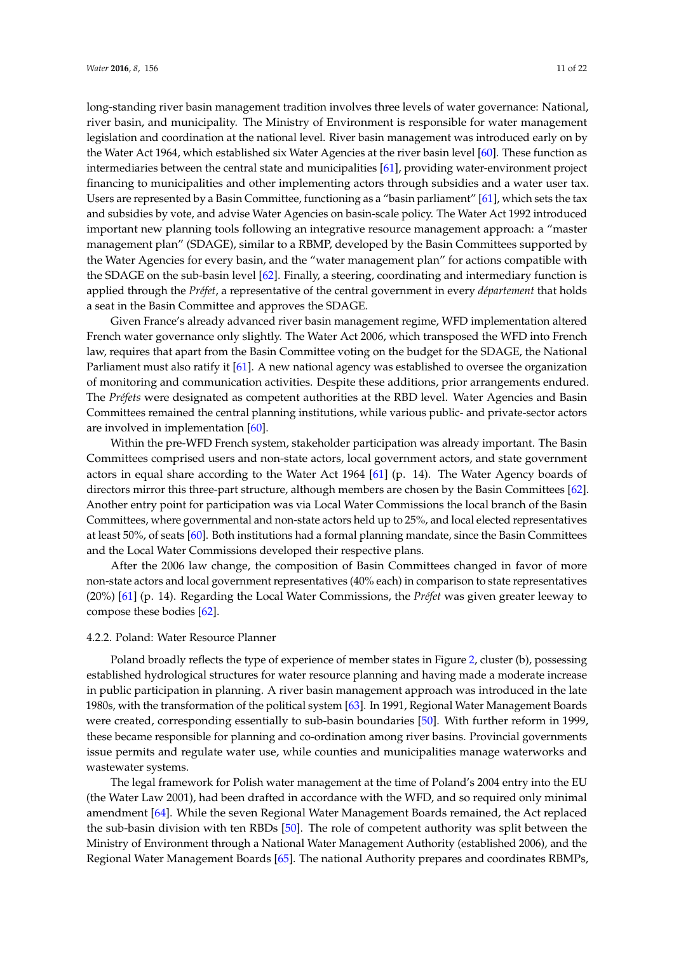long-standing river basin management tradition involves three levels of water governance: National, river basin, and municipality. The Ministry of Environment is responsible for water management legislation and coordination at the national level. River basin management was introduced early on by the Water Act 1964, which established six Water Agencies at the river basin level [\[60\]](#page-20-10). These function as intermediaries between the central state and municipalities [\[61\]](#page-20-11), providing water-environment project financing to municipalities and other implementing actors through subsidies and a water user tax. Users are represented by a Basin Committee, functioning as a "basin parliament" [\[61\]](#page-20-11), which sets the tax and subsidies by vote, and advise Water Agencies on basin-scale policy. The Water Act 1992 introduced important new planning tools following an integrative resource management approach: a "master management plan" (SDAGE), similar to a RBMP, developed by the Basin Committees supported by the Water Agencies for every basin, and the "water management plan" for actions compatible with the SDAGE on the sub-basin level [\[62\]](#page-20-12). Finally, a steering, coordinating and intermediary function is applied through the *Préfet*, a representative of the central government in every *département* that holds a seat in the Basin Committee and approves the SDAGE.

Given France's already advanced river basin management regime, WFD implementation altered French water governance only slightly. The Water Act 2006, which transposed the WFD into French law, requires that apart from the Basin Committee voting on the budget for the SDAGE, the National Parliament must also ratify it [\[61\]](#page-20-11). A new national agency was established to oversee the organization of monitoring and communication activities. Despite these additions, prior arrangements endured. The *Préfets* were designated as competent authorities at the RBD level. Water Agencies and Basin Committees remained the central planning institutions, while various public- and private-sector actors are involved in implementation [\[60\]](#page-20-10).

Within the pre-WFD French system, stakeholder participation was already important. The Basin Committees comprised users and non-state actors, local government actors, and state government actors in equal share according to the Water Act 1964 [\[61\]](#page-20-11) (p. 14). The Water Agency boards of directors mirror this three-part structure, although members are chosen by the Basin Committees [\[62\]](#page-20-12). Another entry point for participation was via Local Water Commissions the local branch of the Basin Committees, where governmental and non-state actors held up to 25%, and local elected representatives at least 50%, of seats [\[60\]](#page-20-10). Both institutions had a formal planning mandate, since the Basin Committees and the Local Water Commissions developed their respective plans.

After the 2006 law change, the composition of Basin Committees changed in favor of more non-state actors and local government representatives (40% each) in comparison to state representatives (20%) [\[61\]](#page-20-11) (p. 14). Regarding the Local Water Commissions, the *Préfet* was given greater leeway to compose these bodies [\[62\]](#page-20-12).

### 4.2.2. Poland: Water Resource Planner

Poland broadly reflects the type of experience of member states in Figure [2,](#page-8-1) cluster (b), possessing established hydrological structures for water resource planning and having made a moderate increase in public participation in planning. A river basin management approach was introduced in the late 1980s, with the transformation of the political system [\[63\]](#page-20-13). In 1991, Regional Water Management Boards were created, corresponding essentially to sub-basin boundaries [\[50\]](#page-20-2). With further reform in 1999, these became responsible for planning and co-ordination among river basins. Provincial governments issue permits and regulate water use, while counties and municipalities manage waterworks and wastewater systems.

The legal framework for Polish water management at the time of Poland's 2004 entry into the EU (the Water Law 2001), had been drafted in accordance with the WFD, and so required only minimal amendment [\[64\]](#page-20-14). While the seven Regional Water Management Boards remained, the Act replaced the sub-basin division with ten RBDs [\[50\]](#page-20-2). The role of competent authority was split between the Ministry of Environment through a National Water Management Authority (established 2006), and the Regional Water Management Boards [\[65\]](#page-20-15). The national Authority prepares and coordinates RBMPs,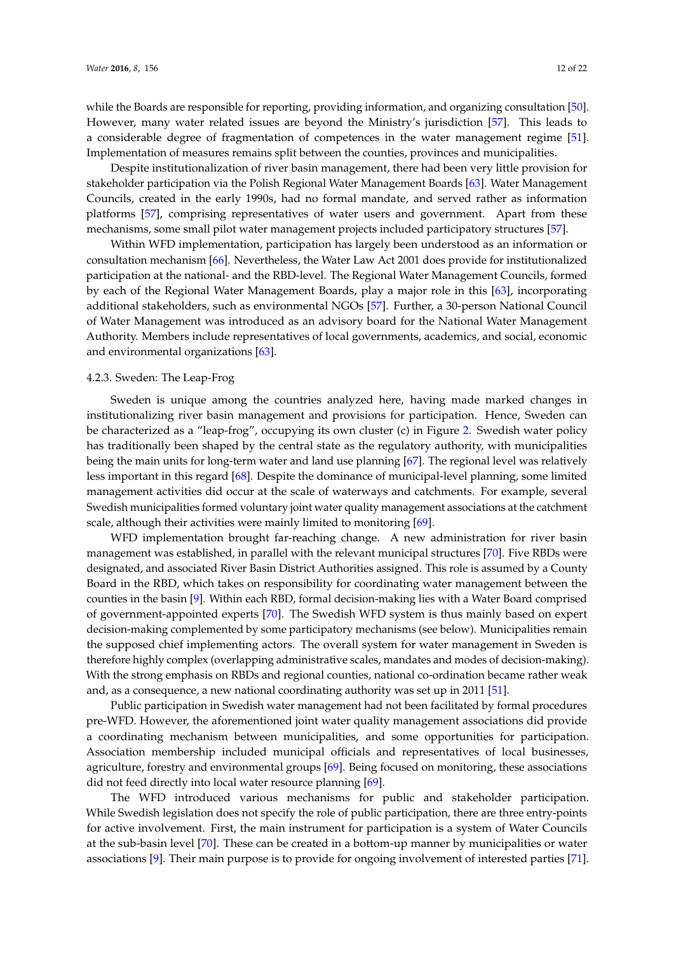while the Boards are responsible for reporting, providing information, and organizing consultation [\[50\]](#page-20-2). However, many water related issues are beyond the Ministry's jurisdiction [\[57\]](#page-20-16). This leads to a considerable degree of fragmentation of competences in the water management regime [\[51\]](#page-20-3). Implementation of measures remains split between the counties, provinces and municipalities.

Despite institutionalization of river basin management, there had been very little provision for stakeholder participation via the Polish Regional Water Management Boards [\[63\]](#page-20-13). Water Management Councils, created in the early 1990s, had no formal mandate, and served rather as information platforms [\[57\]](#page-20-16), comprising representatives of water users and government. Apart from these mechanisms, some small pilot water management projects included participatory structures [\[57\]](#page-20-16).

Within WFD implementation, participation has largely been understood as an information or consultation mechanism [\[66\]](#page-20-17). Nevertheless, the Water Law Act 2001 does provide for institutionalized participation at the national- and the RBD-level. The Regional Water Management Councils, formed by each of the Regional Water Management Boards, play a major role in this [\[63\]](#page-20-13), incorporating additional stakeholders, such as environmental NGOs [\[57\]](#page-20-16). Further, a 30-person National Council of Water Management was introduced as an advisory board for the National Water Management Authority. Members include representatives of local governments, academics, and social, economic and environmental organizations [\[63\]](#page-20-13).

## <span id="page-11-0"></span>4.2.3. Sweden: The Leap-Frog

Sweden is unique among the countries analyzed here, having made marked changes in institutionalizing river basin management and provisions for participation. Hence, Sweden can be characterized as a "leap-frog", occupying its own cluster (c) in Figure [2.](#page-8-1) Swedish water policy has traditionally been shaped by the central state as the regulatory authority, with municipalities being the main units for long-term water and land use planning [\[67\]](#page-21-0). The regional level was relatively less important in this regard [\[68\]](#page-21-1). Despite the dominance of municipal-level planning, some limited management activities did occur at the scale of waterways and catchments. For example, several Swedish municipalities formed voluntary joint water quality management associations at the catchment scale, although their activities were mainly limited to monitoring [\[69\]](#page-21-2).

WFD implementation brought far-reaching change. A new administration for river basin management was established, in parallel with the relevant municipal structures [\[70\]](#page-21-3). Five RBDs were designated, and associated River Basin District Authorities assigned. This role is assumed by a County Board in the RBD, which takes on responsibility for coordinating water management between the counties in the basin [\[9\]](#page-18-7). Within each RBD, formal decision-making lies with a Water Board comprised of government-appointed experts [\[70\]](#page-21-3). The Swedish WFD system is thus mainly based on expert decision-making complemented by some participatory mechanisms (see below). Municipalities remain the supposed chief implementing actors. The overall system for water management in Sweden is therefore highly complex (overlapping administrative scales, mandates and modes of decision-making). With the strong emphasis on RBDs and regional counties, national co-ordination became rather weak and, as a consequence, a new national coordinating authority was set up in 2011 [\[51\]](#page-20-3).

Public participation in Swedish water management had not been facilitated by formal procedures pre-WFD. However, the aforementioned joint water quality management associations did provide a coordinating mechanism between municipalities, and some opportunities for participation. Association membership included municipal officials and representatives of local businesses, agriculture, forestry and environmental groups [\[69\]](#page-21-2). Being focused on monitoring, these associations did not feed directly into local water resource planning [\[69\]](#page-21-2).

The WFD introduced various mechanisms for public and stakeholder participation. While Swedish legislation does not specify the role of public participation, there are three entry-points for active involvement. First, the main instrument for participation is a system of Water Councils at the sub-basin level [\[70\]](#page-21-3). These can be created in a bottom-up manner by municipalities or water associations [\[9\]](#page-18-7). Their main purpose is to provide for ongoing involvement of interested parties [\[71\]](#page-21-4).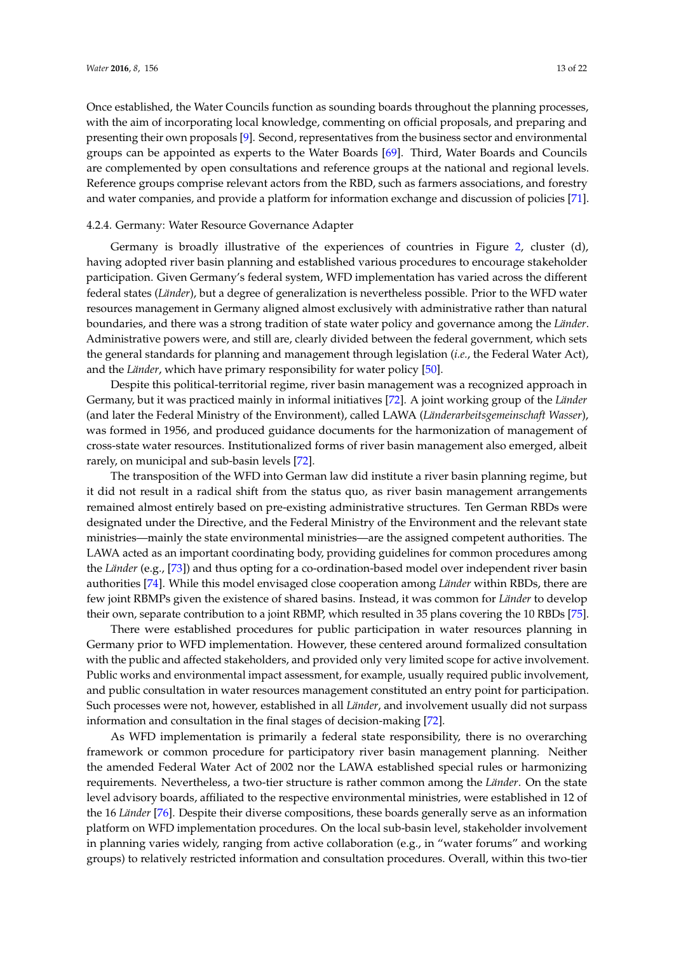Once established, the Water Councils function as sounding boards throughout the planning processes, with the aim of incorporating local knowledge, commenting on official proposals, and preparing and presenting their own proposals [\[9\]](#page-18-7). Second, representatives from the business sector and environmental groups can be appointed as experts to the Water Boards [\[69\]](#page-21-2). Third, Water Boards and Councils are complemented by open consultations and reference groups at the national and regional levels. Reference groups comprise relevant actors from the RBD, such as farmers associations, and forestry and water companies, and provide a platform for information exchange and discussion of policies [\[71\]](#page-21-4).

#### 4.2.4. Germany: Water Resource Governance Adapter

Germany is broadly illustrative of the experiences of countries in Figure [2,](#page-8-1) cluster (d), having adopted river basin planning and established various procedures to encourage stakeholder participation. Given Germany's federal system, WFD implementation has varied across the different federal states (*Länder*), but a degree of generalization is nevertheless possible. Prior to the WFD water resources management in Germany aligned almost exclusively with administrative rather than natural boundaries, and there was a strong tradition of state water policy and governance among the *Länder*. Administrative powers were, and still are, clearly divided between the federal government, which sets the general standards for planning and management through legislation (*i.e.*, the Federal Water Act), and the *Länder*, which have primary responsibility for water policy [\[50\]](#page-20-2).

Despite this political-territorial regime, river basin management was a recognized approach in Germany, but it was practiced mainly in informal initiatives [\[72\]](#page-21-5). A joint working group of the *Länder* (and later the Federal Ministry of the Environment), called LAWA (*Länderarbeitsgemeinschaft Wasser*), was formed in 1956, and produced guidance documents for the harmonization of management of cross-state water resources. Institutionalized forms of river basin management also emerged, albeit rarely, on municipal and sub-basin levels [\[72\]](#page-21-5).

The transposition of the WFD into German law did institute a river basin planning regime, but it did not result in a radical shift from the status quo, as river basin management arrangements remained almost entirely based on pre-existing administrative structures. Ten German RBDs were designated under the Directive, and the Federal Ministry of the Environment and the relevant state ministries—mainly the state environmental ministries—are the assigned competent authorities. The LAWA acted as an important coordinating body, providing guidelines for common procedures among the *Länder* (e.g., [\[73\]](#page-21-6)) and thus opting for a co-ordination-based model over independent river basin authorities [\[74\]](#page-21-7). While this model envisaged close cooperation among *Länder* within RBDs, there are few joint RBMPs given the existence of shared basins. Instead, it was common for *Länder* to develop their own, separate contribution to a joint RBMP, which resulted in 35 plans covering the 10 RBDs [\[75\]](#page-21-8).

There were established procedures for public participation in water resources planning in Germany prior to WFD implementation. However, these centered around formalized consultation with the public and affected stakeholders, and provided only very limited scope for active involvement. Public works and environmental impact assessment, for example, usually required public involvement, and public consultation in water resources management constituted an entry point for participation. Such processes were not, however, established in all *Länder*, and involvement usually did not surpass information and consultation in the final stages of decision-making [\[72\]](#page-21-5).

As WFD implementation is primarily a federal state responsibility, there is no overarching framework or common procedure for participatory river basin management planning. Neither the amended Federal Water Act of 2002 nor the LAWA established special rules or harmonizing requirements. Nevertheless, a two-tier structure is rather common among the *Länder*. On the state level advisory boards, affiliated to the respective environmental ministries, were established in 12 of the 16 *Länder* [\[76\]](#page-21-9). Despite their diverse compositions, these boards generally serve as an information platform on WFD implementation procedures. On the local sub-basin level, stakeholder involvement in planning varies widely, ranging from active collaboration (e.g., in "water forums" and working groups) to relatively restricted information and consultation procedures. Overall, within this two-tier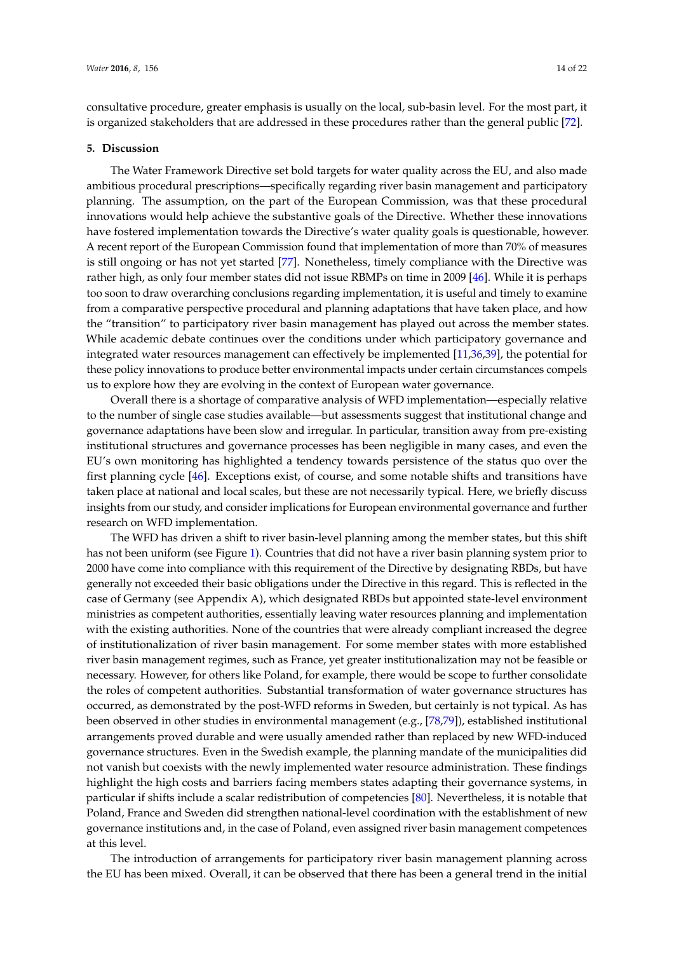consultative procedure, greater emphasis is usually on the local, sub-basin level. For the most part, it is organized stakeholders that are addressed in these procedures rather than the general public [\[72\]](#page-21-5).

#### <span id="page-13-0"></span>**5. Discussion**

The Water Framework Directive set bold targets for water quality across the EU, and also made ambitious procedural prescriptions—specifically regarding river basin management and participatory planning. The assumption, on the part of the European Commission, was that these procedural innovations would help achieve the substantive goals of the Directive. Whether these innovations have fostered implementation towards the Directive's water quality goals is questionable, however. A recent report of the European Commission found that implementation of more than 70% of measures is still ongoing or has not yet started [\[77\]](#page-21-10). Nonetheless, timely compliance with the Directive was rather high, as only four member states did not issue RBMPs on time in 2009 [\[46\]](#page-19-18). While it is perhaps too soon to draw overarching conclusions regarding implementation, it is useful and timely to examine from a comparative perspective procedural and planning adaptations that have taken place, and how the "transition" to participatory river basin management has played out across the member states. While academic debate continues over the conditions under which participatory governance and integrated water resources management can effectively be implemented [\[11,](#page-18-8)[36,](#page-19-11)[39\]](#page-19-20), the potential for these policy innovations to produce better environmental impacts under certain circumstances compels us to explore how they are evolving in the context of European water governance.

Overall there is a shortage of comparative analysis of WFD implementation—especially relative to the number of single case studies available—but assessments suggest that institutional change and governance adaptations have been slow and irregular. In particular, transition away from pre-existing institutional structures and governance processes has been negligible in many cases, and even the EU's own monitoring has highlighted a tendency towards persistence of the status quo over the first planning cycle [\[46\]](#page-19-18). Exceptions exist, of course, and some notable shifts and transitions have taken place at national and local scales, but these are not necessarily typical. Here, we briefly discuss insights from our study, and consider implications for European environmental governance and further research on WFD implementation.

The WFD has driven a shift to river basin-level planning among the member states, but this shift has not been uniform (see Figure [1\)](#page-7-1). Countries that did not have a river basin planning system prior to 2000 have come into compliance with this requirement of the Directive by designating RBDs, but have generally not exceeded their basic obligations under the Directive in this regard. This is reflected in the case of Germany (see Appendix A), which designated RBDs but appointed state-level environment ministries as competent authorities, essentially leaving water resources planning and implementation with the existing authorities. None of the countries that were already compliant increased the degree of institutionalization of river basin management. For some member states with more established river basin management regimes, such as France, yet greater institutionalization may not be feasible or necessary. However, for others like Poland, for example, there would be scope to further consolidate the roles of competent authorities. Substantial transformation of water governance structures has occurred, as demonstrated by the post-WFD reforms in Sweden, but certainly is not typical. As has been observed in other studies in environmental management (e.g., [\[78,](#page-21-11)[79\]](#page-21-12)), established institutional arrangements proved durable and were usually amended rather than replaced by new WFD-induced governance structures. Even in the Swedish example, the planning mandate of the municipalities did not vanish but coexists with the newly implemented water resource administration. These findings highlight the high costs and barriers facing members states adapting their governance systems, in particular if shifts include a scalar redistribution of competencies [\[80\]](#page-21-13). Nevertheless, it is notable that Poland, France and Sweden did strengthen national-level coordination with the establishment of new governance institutions and, in the case of Poland, even assigned river basin management competences at this level.

The introduction of arrangements for participatory river basin management planning across the EU has been mixed. Overall, it can be observed that there has been a general trend in the initial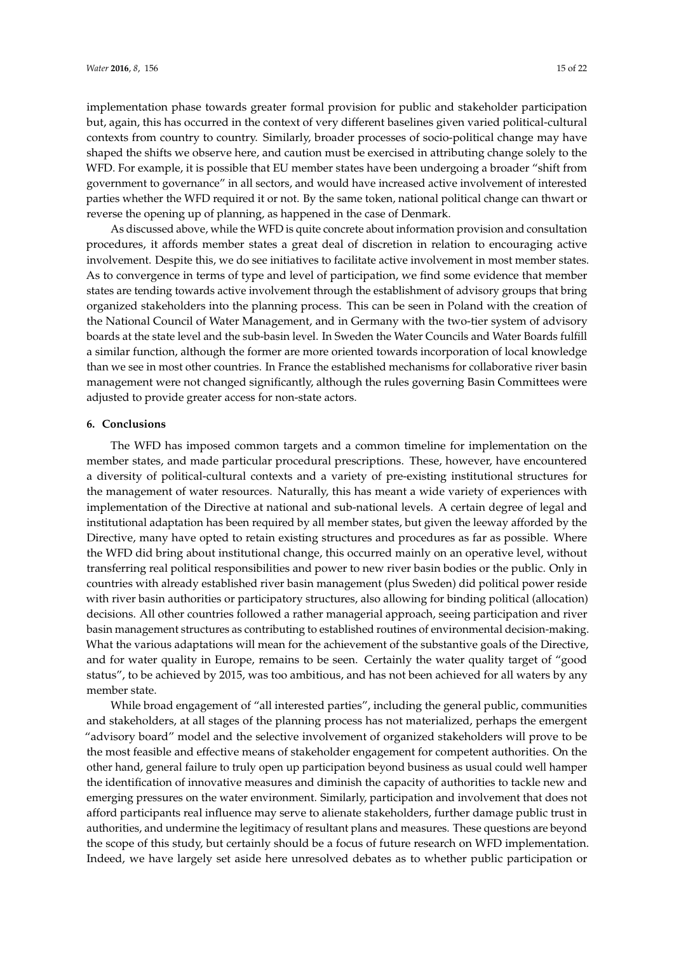implementation phase towards greater formal provision for public and stakeholder participation but, again, this has occurred in the context of very different baselines given varied political-cultural contexts from country to country. Similarly, broader processes of socio-political change may have shaped the shifts we observe here, and caution must be exercised in attributing change solely to the WFD. For example, it is possible that EU member states have been undergoing a broader "shift from government to governance" in all sectors, and would have increased active involvement of interested parties whether the WFD required it or not. By the same token, national political change can thwart or reverse the opening up of planning, as happened in the case of Denmark.

As discussed above, while the WFD is quite concrete about information provision and consultation procedures, it affords member states a great deal of discretion in relation to encouraging active involvement. Despite this, we do see initiatives to facilitate active involvement in most member states. As to convergence in terms of type and level of participation, we find some evidence that member states are tending towards active involvement through the establishment of advisory groups that bring organized stakeholders into the planning process. This can be seen in Poland with the creation of the National Council of Water Management, and in Germany with the two-tier system of advisory boards at the state level and the sub-basin level. In Sweden the Water Councils and Water Boards fulfill a similar function, although the former are more oriented towards incorporation of local knowledge than we see in most other countries. In France the established mechanisms for collaborative river basin management were not changed significantly, although the rules governing Basin Committees were adjusted to provide greater access for non-state actors.

## **6. Conclusions**

The WFD has imposed common targets and a common timeline for implementation on the member states, and made particular procedural prescriptions. These, however, have encountered a diversity of political-cultural contexts and a variety of pre-existing institutional structures for the management of water resources. Naturally, this has meant a wide variety of experiences with implementation of the Directive at national and sub-national levels. A certain degree of legal and institutional adaptation has been required by all member states, but given the leeway afforded by the Directive, many have opted to retain existing structures and procedures as far as possible. Where the WFD did bring about institutional change, this occurred mainly on an operative level, without transferring real political responsibilities and power to new river basin bodies or the public. Only in countries with already established river basin management (plus Sweden) did political power reside with river basin authorities or participatory structures, also allowing for binding political (allocation) decisions. All other countries followed a rather managerial approach, seeing participation and river basin management structures as contributing to established routines of environmental decision-making. What the various adaptations will mean for the achievement of the substantive goals of the Directive, and for water quality in Europe, remains to be seen. Certainly the water quality target of "good status", to be achieved by 2015, was too ambitious, and has not been achieved for all waters by any member state.

While broad engagement of "all interested parties", including the general public, communities and stakeholders, at all stages of the planning process has not materialized, perhaps the emergent "advisory board" model and the selective involvement of organized stakeholders will prove to be the most feasible and effective means of stakeholder engagement for competent authorities. On the other hand, general failure to truly open up participation beyond business as usual could well hamper the identification of innovative measures and diminish the capacity of authorities to tackle new and emerging pressures on the water environment. Similarly, participation and involvement that does not afford participants real influence may serve to alienate stakeholders, further damage public trust in authorities, and undermine the legitimacy of resultant plans and measures. These questions are beyond the scope of this study, but certainly should be a focus of future research on WFD implementation. Indeed, we have largely set aside here unresolved debates as to whether public participation or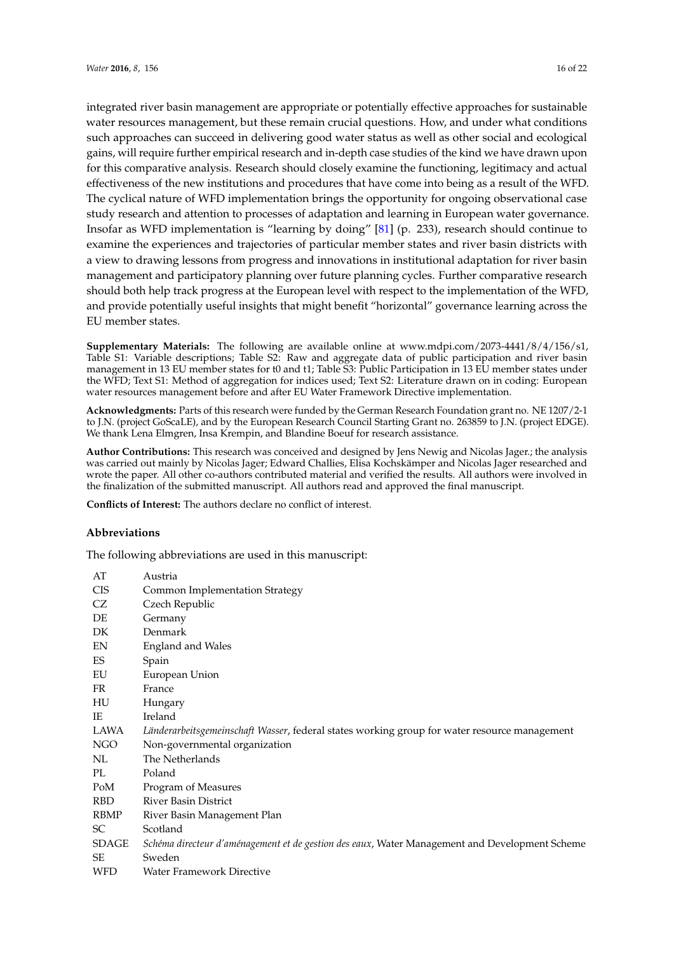integrated river basin management are appropriate or potentially effective approaches for sustainable water resources management, but these remain crucial questions. How, and under what conditions such approaches can succeed in delivering good water status as well as other social and ecological gains, will require further empirical research and in-depth case studies of the kind we have drawn upon for this comparative analysis. Research should closely examine the functioning, legitimacy and actual effectiveness of the new institutions and procedures that have come into being as a result of the WFD. The cyclical nature of WFD implementation brings the opportunity for ongoing observational case study research and attention to processes of adaptation and learning in European water governance. Insofar as WFD implementation is "learning by doing" [\[81\]](#page-21-14) (p. 233), research should continue to examine the experiences and trajectories of particular member states and river basin districts with a view to drawing lessons from progress and innovations in institutional adaptation for river basin management and participatory planning over future planning cycles. Further comparative research should both help track progress at the European level with respect to the implementation of the WFD, and provide potentially useful insights that might benefit "horizontal" governance learning across the EU member states.

**Supplementary Materials:** The following are available online at www.mdpi.com/2073-4441/8/4/156/s1, Table S1: Variable descriptions; Table S2: Raw and aggregate data of public participation and river basin management in 13 EU member states for t0 and t1; Table S3: Public Participation in 13 EU member states under the WFD; Text S1: Method of aggregation for indices used; Text S2: Literature drawn on in coding: European water resources management before and after EU Water Framework Directive implementation.

**Acknowledgments:** Parts of this research were funded by the German Research Foundation grant no. NE 1207/2-1 to J.N. (project GoScaLE), and by the European Research Council Starting Grant no. 263859 to J.N. (project EDGE). We thank Lena Elmgren, Insa Krempin, and Blandine Boeuf for research assistance.

**Author Contributions:** This research was conceived and designed by Jens Newig and Nicolas Jager.; the analysis was carried out mainly by Nicolas Jager; Edward Challies, Elisa Kochskämper and Nicolas Jager researched and wrote the paper. All other co-authors contributed material and verified the results. All authors were involved in the finalization of the submitted manuscript. All authors read and approved the final manuscript.

**Conflicts of Interest:** The authors declare no conflict of interest.

## **Abbreviations**

The following abbreviations are used in this manuscript:

| AT         | Austria                                                                                        |
|------------|------------------------------------------------------------------------------------------------|
| <b>CIS</b> | Common Implementation Strategy                                                                 |
| CZ         | Czech Republic                                                                                 |
| DE         | Germany                                                                                        |
| DK         | Denmark                                                                                        |
| EN         | England and Wales                                                                              |
| ES         | Spain                                                                                          |
| EU         | European Union                                                                                 |
| FR         | France                                                                                         |
| HU         | Hungary                                                                                        |
| IE         | Ireland                                                                                        |
| LAWA       | Länderarbeitsgemeinschaft Wasser, federal states working group for water resource management   |
| NGO        | Non-governmental organization                                                                  |
| NL         | The Netherlands                                                                                |
| PL         | Poland                                                                                         |
| PoM        | Program of Measures                                                                            |
| <b>RBD</b> | <b>River Basin District</b>                                                                    |
| RBMP       | River Basin Management Plan                                                                    |
| SC         | Scotland                                                                                       |
| SDAGE      | Schéma directeur d'aménagement et de gestion des eaux, Water Management and Development Scheme |
| SE         | Sweden                                                                                         |
| <b>WFD</b> | Water Framework Directive                                                                      |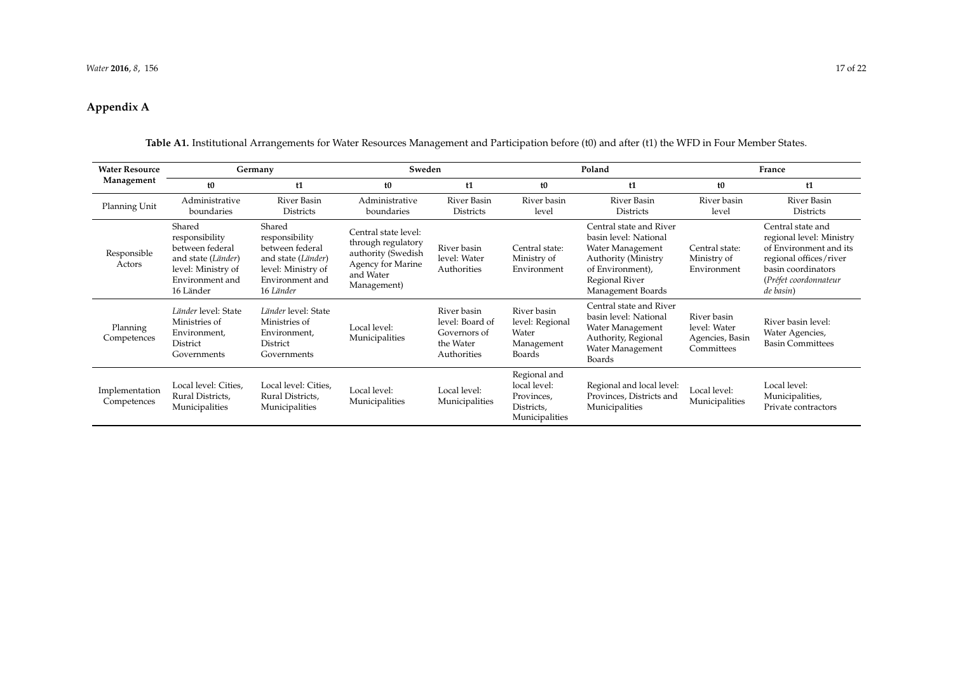# **Appendix A**

<span id="page-16-0"></span>

| <b>Water Resource</b><br>Management | Germany                                                                                                                 |                                                                                                                         | Sweden                                                                                                            |                                                                            | Poland                                                                     |                                                                                                                                                        | France                                                       |                                                                                                                                                               |
|-------------------------------------|-------------------------------------------------------------------------------------------------------------------------|-------------------------------------------------------------------------------------------------------------------------|-------------------------------------------------------------------------------------------------------------------|----------------------------------------------------------------------------|----------------------------------------------------------------------------|--------------------------------------------------------------------------------------------------------------------------------------------------------|--------------------------------------------------------------|---------------------------------------------------------------------------------------------------------------------------------------------------------------|
|                                     | t <sub>0</sub>                                                                                                          | t1                                                                                                                      | t <sub>0</sub>                                                                                                    | t1                                                                         | t <sub>0</sub>                                                             | t1                                                                                                                                                     | t <sub>0</sub>                                               | t1                                                                                                                                                            |
| Planning Unit                       | Administrative<br>boundaries                                                                                            | River Basin<br><b>Districts</b>                                                                                         | Administrative<br>boundaries                                                                                      | River Basin<br><b>Districts</b>                                            | River basin<br>level                                                       | <b>River Basin</b><br><b>Districts</b>                                                                                                                 | River basin<br>level                                         | River Basin<br><b>Districts</b>                                                                                                                               |
| Responsible<br>Actors               | Shared<br>responsibility<br>between federal<br>and state (Länder)<br>level: Ministry of<br>Environment and<br>16 Länder | Shared<br>responsibility<br>between federal<br>and state (Länder)<br>level: Ministry of<br>Environment and<br>16 Länder | Central state level:<br>through regulatory<br>authority (Swedish<br>Agency for Marine<br>and Water<br>Management) | River basin<br>level: Water<br>Authorities                                 | Central state:<br>Ministry of<br>Environment                               | Central state and River<br>basin level: National<br>Water Management<br>Authority (Ministry<br>of Environment),<br>Regional River<br>Management Boards | Central state:<br>Ministry of<br>Environment                 | Central state and<br>regional level: Ministry<br>of Environment and its<br>regional offices/river<br>basin coordinators<br>(Préfet coordonnateur<br>de basin) |
| Planning<br>Competences             | Länder level: State<br>Ministries of<br>Environment,<br>District<br>Governments                                         | Länder level: State<br>Ministries of<br>Environment,<br>District<br>Governments                                         | Local level:<br>Municipalities                                                                                    | River basin<br>level: Board of<br>Governors of<br>the Water<br>Authorities | River basin<br>level: Regional<br>Water<br>Management<br>Boards            | Central state and River<br>basin level: National<br>Water Management<br>Authority, Regional<br>Water Management<br>Boards                              | River basin<br>level: Water<br>Agencies, Basin<br>Committees | River basin level:<br>Water Agencies,<br><b>Basin Committees</b>                                                                                              |
| Implementation<br>Competences       | Local level: Cities,<br>Rural Districts,<br>Municipalities                                                              | Local level: Cities,<br>Rural Districts,<br>Municipalities                                                              | Local level:<br>Municipalities                                                                                    | Local level:<br>Municipalities                                             | Regional and<br>local level:<br>Provinces,<br>Districts,<br>Municipalities | Regional and local level:<br>Provinces, Districts and<br>Municipalities                                                                                | Local level:<br>Municipalities                               | Local level:<br>Municipalities,<br>Private contractors                                                                                                        |

Table A1. Institutional Arrangements for Water Resources Management and Participation before (t0) and after (t1) the WFD in Four Member States.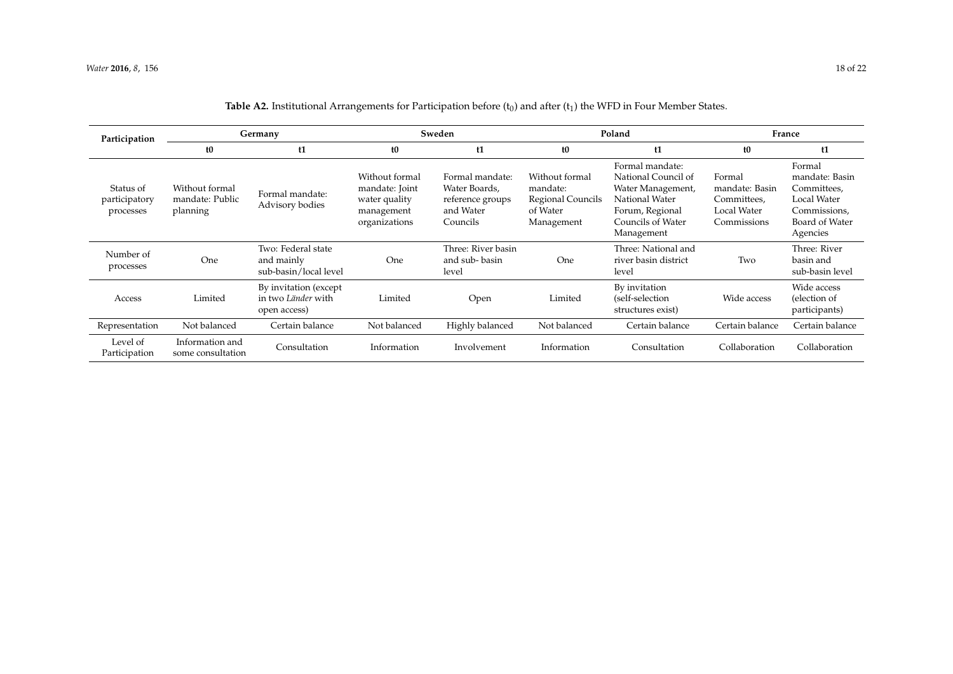<span id="page-17-0"></span>

| Participation                           | Germany                                       |                                                             | Sweden                                                                           |                                                                               | Poland                                                                    |                                                                                                                                     | France                                                                |                                                                                                      |
|-----------------------------------------|-----------------------------------------------|-------------------------------------------------------------|----------------------------------------------------------------------------------|-------------------------------------------------------------------------------|---------------------------------------------------------------------------|-------------------------------------------------------------------------------------------------------------------------------------|-----------------------------------------------------------------------|------------------------------------------------------------------------------------------------------|
|                                         | t0                                            | t1                                                          | t0                                                                               | t1                                                                            | t0                                                                        | t1                                                                                                                                  | t <sub>0</sub>                                                        | t1                                                                                                   |
| Status of<br>participatory<br>processes | Without formal<br>mandate: Public<br>planning | Formal mandate:<br>Advisory bodies                          | Without formal<br>mandate: Joint<br>water quality<br>management<br>organizations | Formal mandate:<br>Water Boards,<br>reference groups<br>and Water<br>Councils | Without formal<br>mandate:<br>Regional Councils<br>of Water<br>Management | Formal mandate:<br>National Council of<br>Water Management,<br>National Water<br>Forum, Regional<br>Councils of Water<br>Management | Formal<br>mandate: Basin<br>Committees,<br>Local Water<br>Commissions | Formal<br>mandate: Basin<br>Committees,<br>Local Water<br>Commissions,<br>Board of Water<br>Agencies |
| Number of<br>processes                  | One                                           | Two: Federal state<br>and mainly<br>sub-basin/local level   | One                                                                              | Three: River basin<br>and sub-basin<br>level                                  | One                                                                       | Three: National and<br>river basin district<br>level                                                                                | Two                                                                   | Three: River<br>basin and<br>sub-basin level                                                         |
| Access                                  | Limited                                       | By invitation (except<br>in two Länder with<br>open access) | Limited                                                                          | Open                                                                          | Limited                                                                   | By invitation<br>(self-selection<br>structures exist)                                                                               | Wide access                                                           | Wide access<br>(election of<br>participants)                                                         |
| Representation                          | Not balanced                                  | Certain balance                                             | Not balanced                                                                     | Highly balanced                                                               | Not balanced                                                              | Certain balance                                                                                                                     | Certain balance                                                       | Certain balance                                                                                      |
| Level of<br>Participation               | Information and<br>some consultation          | Consultation                                                | Information                                                                      | Involvement                                                                   | Information                                                               | Consultation                                                                                                                        | Collaboration                                                         | Collaboration                                                                                        |

## **Table A2.** Institutional Arrangements for Participation before  $(t_0)$  and after  $(t_1)$  the WFD in Four Member States.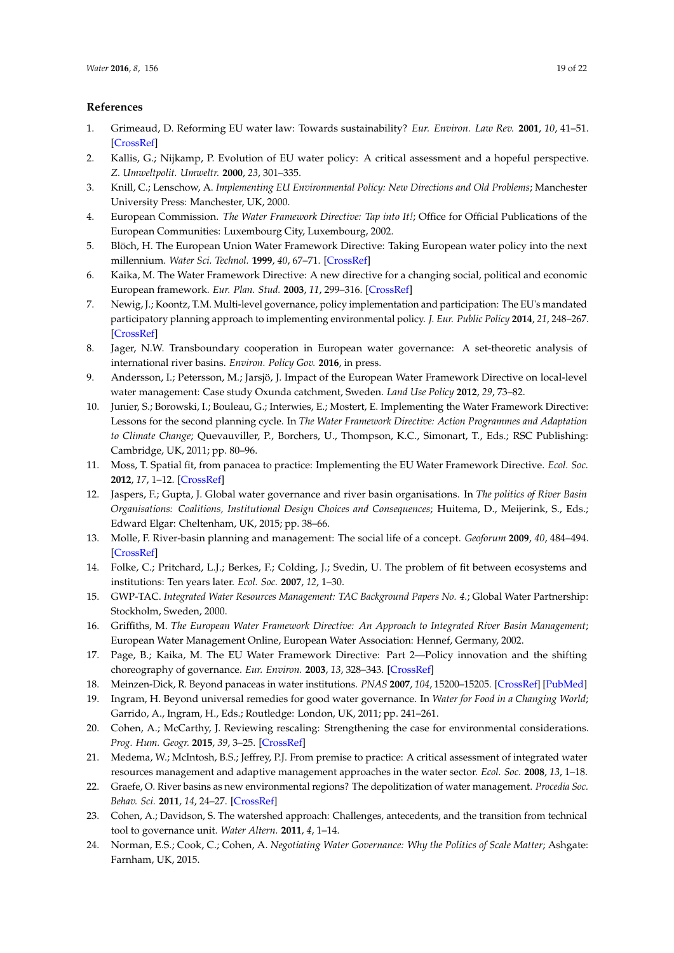## **References**

- <span id="page-18-0"></span>1. Grimeaud, D. Reforming EU water law: Towards sustainability? *Eur. Environ. Law Rev.* **2001**, *10*, 41–51. [\[CrossRef\]](http://dx.doi.org/10.1023/A:1016601023837)
- <span id="page-18-1"></span>2. Kallis, G.; Nijkamp, P. Evolution of EU water policy: A critical assessment and a hopeful perspective. *Z. Umweltpolit. Umweltr.* **2000**, *23*, 301–335.
- <span id="page-18-2"></span>3. Knill, C.; Lenschow, A. *Implementing EU Environmental Policy: New Directions and Old Problems*; Manchester University Press: Manchester, UK, 2000.
- <span id="page-18-3"></span>4. European Commission. *The Water Framework Directive: Tap into It!*; Office for Official Publications of the European Communities: Luxembourg City, Luxembourg, 2002.
- 5. Blöch, H. The European Union Water Framework Directive: Taking European water policy into the next millennium. *Water Sci. Technol.* **1999**, *40*, 67–71. [\[CrossRef\]](http://dx.doi.org/10.1016/S0273-1223(99)00690-3)
- <span id="page-18-4"></span>6. Kaika, M. The Water Framework Directive: A new directive for a changing social, political and economic European framework. *Eur. Plan. Stud.* **2003**, *11*, 299–316. [\[CrossRef\]](http://dx.doi.org/10.1080/09654310303640)
- <span id="page-18-5"></span>7. Newig, J.; Koontz, T.M. Multi-level governance, policy implementation and participation: The EU's mandated participatory planning approach to implementing environmental policy. *J. Eur. Public Policy* **2014**, *21*, 248–267. [\[CrossRef\]](http://dx.doi.org/10.1080/13501763.2013.834070)
- <span id="page-18-6"></span>8. Jager, N.W. Transboundary cooperation in European water governance: A set-theoretic analysis of international river basins. *Environ. Policy Gov.* **2016**, in press.
- <span id="page-18-7"></span>9. Andersson, I.; Petersson, M.; Jarsjö, J. Impact of the European Water Framework Directive on local-level water management: Case study Oxunda catchment, Sweden. *Land Use Policy* **2012**, *29*, 73–82.
- <span id="page-18-22"></span>10. Junier, S.; Borowski, I.; Bouleau, G.; Interwies, E.; Mostert, E. Implementing the Water Framework Directive: Lessons for the second planning cycle. In *The Water Framework Directive: Action Programmes and Adaptation to Climate Change*; Quevauviller, P., Borchers, U., Thompson, K.C., Simonart, T., Eds.; RSC Publishing: Cambridge, UK, 2011; pp. 80–96.
- <span id="page-18-8"></span>11. Moss, T. Spatial fit, from panacea to practice: Implementing the EU Water Framework Directive. *Ecol. Soc.* **2012**, *17*, 1–12. [\[CrossRef\]](http://dx.doi.org/10.5751/ES-04821-170302)
- <span id="page-18-9"></span>12. Jaspers, F.; Gupta, J. Global water governance and river basin organisations. In *The politics of River Basin Organisations: Coalitions, Institutional Design Choices and Consequences*; Huitema, D., Meijerink, S., Eds.; Edward Elgar: Cheltenham, UK, 2015; pp. 38–66.
- <span id="page-18-10"></span>13. Molle, F. River-basin planning and management: The social life of a concept. *Geoforum* **2009**, *40*, 484–494. [\[CrossRef\]](http://dx.doi.org/10.1016/j.geoforum.2009.03.004)
- <span id="page-18-11"></span>14. Folke, C.; Pritchard, L.J.; Berkes, F.; Colding, J.; Svedin, U. The problem of fit between ecosystems and institutions: Ten years later. *Ecol. Soc.* **2007**, *12*, 1–30.
- <span id="page-18-12"></span>15. GWP-TAC. *Integrated Water Resources Management: TAC Background Papers No. 4.*; Global Water Partnership: Stockholm, Sweden, 2000.
- <span id="page-18-13"></span>16. Griffiths, M. *The European Water Framework Directive: An Approach to Integrated River Basin Management*; European Water Management Online, European Water Association: Hennef, Germany, 2002.
- <span id="page-18-14"></span>17. Page, B.; Kaika, M. The EU Water Framework Directive: Part 2—Policy innovation and the shifting choreography of governance. *Eur. Environ.* **2003**, *13*, 328–343. [\[CrossRef\]](http://dx.doi.org/10.1002/eet.332)
- <span id="page-18-15"></span>18. Meinzen-Dick, R. Beyond panaceas in water institutions. *PNAS* **2007**, *104*, 15200–15205. [\[CrossRef\]](http://dx.doi.org/10.1073/pnas.0702296104) [\[PubMed\]](http://www.ncbi.nlm.nih.gov/pubmed/17881577)
- <span id="page-18-16"></span>19. Ingram, H. Beyond universal remedies for good water governance. In *Water for Food in a Changing World*; Garrido, A., Ingram, H., Eds.; Routledge: London, UK, 2011; pp. 241–261.
- <span id="page-18-17"></span>20. Cohen, A.; McCarthy, J. Reviewing rescaling: Strengthening the case for environmental considerations. *Prog. Hum. Geogr.* **2015**, *39*, 3–25. [\[CrossRef\]](http://dx.doi.org/10.1177/0309132514521483)
- <span id="page-18-18"></span>21. Medema, W.; McIntosh, B.S.; Jeffrey, P.J. From premise to practice: A critical assessment of integrated water resources management and adaptive management approaches in the water sector. *Ecol. Soc.* **2008**, *13*, 1–18.
- <span id="page-18-19"></span>22. Graefe, O. River basins as new environmental regions? The depolitization of water management. *Procedia Soc. Behav. Sci.* **2011**, *14*, 24–27. [\[CrossRef\]](http://dx.doi.org/10.1016/j.sbspro.2011.03.014)
- <span id="page-18-21"></span>23. Cohen, A.; Davidson, S. The watershed approach: Challenges, antecedents, and the transition from technical tool to governance unit. *Water Altern.* **2011**, *4*, 1–14.
- <span id="page-18-20"></span>24. Norman, E.S.; Cook, C.; Cohen, A. *Negotiating Water Governance: Why the Politics of Scale Matter*; Ashgate: Farnham, UK, 2015.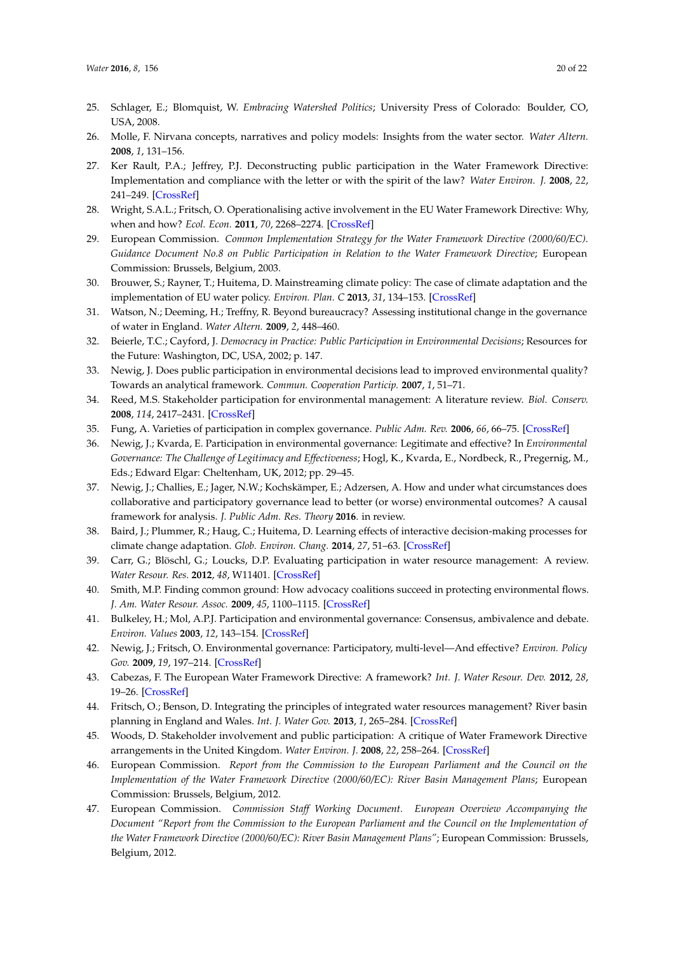- <span id="page-19-0"></span>25. Schlager, E.; Blomquist, W. *Embracing Watershed Politics*; University Press of Colorado: Boulder, CO, USA, 2008.
- <span id="page-19-1"></span>26. Molle, F. Nirvana concepts, narratives and policy models: Insights from the water sector. *Water Altern.* **2008**, *1*, 131–156.
- <span id="page-19-2"></span>27. Ker Rault, P.A.; Jeffrey, P.J. Deconstructing public participation in the Water Framework Directive: Implementation and compliance with the letter or with the spirit of the law? *Water Environ. J.* **2008**, *22*, 241–249. [\[CrossRef\]](http://dx.doi.org/10.1111/j.1747-6593.2008.00125.x)
- <span id="page-19-3"></span>28. Wright, S.A.L.; Fritsch, O. Operationalising active involvement in the EU Water Framework Directive: Why, when and how? *Ecol. Econ.* **2011**, *70*, 2268–2274. [\[CrossRef\]](http://dx.doi.org/10.1016/j.ecolecon.2011.07.023)
- <span id="page-19-4"></span>29. European Commission. *Common Implementation Strategy for the Water Framework Directive (2000/60/EC). Guidance Document No.8 on Public Participation in Relation to the Water Framework Directive*; European Commission: Brussels, Belgium, 2003.
- <span id="page-19-5"></span>30. Brouwer, S.; Rayner, T.; Huitema, D. Mainstreaming climate policy: The case of climate adaptation and the implementation of EU water policy. *Environ. Plan. C* **2013**, *31*, 134–153. [\[CrossRef\]](http://dx.doi.org/10.1068/c11134)
- <span id="page-19-6"></span>31. Watson, N.; Deeming, H.; Treffny, R. Beyond bureaucracy? Assessing institutional change in the governance of water in England. *Water Altern.* **2009**, *2*, 448–460.
- <span id="page-19-7"></span>32. Beierle, T.C.; Cayford, J. *Democracy in Practice: Public Participation in Environmental Decisions*; Resources for the Future: Washington, DC, USA, 2002; p. 147.
- <span id="page-19-8"></span>33. Newig, J. Does public participation in environmental decisions lead to improved environmental quality? Towards an analytical framework. *Commun. Cooperation Particip.* **2007**, *1*, 51–71.
- <span id="page-19-9"></span>34. Reed, M.S. Stakeholder participation for environmental management: A literature review. *Biol. Conserv.* **2008**, *114*, 2417–2431. [\[CrossRef\]](http://dx.doi.org/10.1016/j.biocon.2008.07.014)
- <span id="page-19-10"></span>35. Fung, A. Varieties of participation in complex governance. *Public Adm. Rev.* **2006**, *66*, 66–75. [\[CrossRef\]](http://dx.doi.org/10.1111/j.1540-6210.2006.00667.x)
- <span id="page-19-11"></span>36. Newig, J.; Kvarda, E. Participation in environmental governance: Legitimate and effective? In *Environmental Governance: The Challenge of Legitimacy and Effectiveness*; Hogl, K., Kvarda, E., Nordbeck, R., Pregernig, M., Eds.; Edward Elgar: Cheltenham, UK, 2012; pp. 29–45.
- <span id="page-19-12"></span>37. Newig, J.; Challies, E.; Jager, N.W.; Kochskämper, E.; Adzersen, A. How and under what circumstances does collaborative and participatory governance lead to better (or worse) environmental outcomes? A causal framework for analysis. *J. Public Adm. Res. Theory* **2016**. in review.
- <span id="page-19-13"></span>38. Baird, J.; Plummer, R.; Haug, C.; Huitema, D. Learning effects of interactive decision-making processes for climate change adaptation. *Glob. Environ. Chang.* **2014**, *27*, 51–63. [\[CrossRef\]](http://dx.doi.org/10.1016/j.gloenvcha.2014.04.019)
- <span id="page-19-20"></span>39. Carr, G.; Blöschl, G.; Loucks, D.P. Evaluating participation in water resource management: A review. *Water Resour. Res.* **2012**, *48*, W11401. [\[CrossRef\]](http://dx.doi.org/10.1029/2011WR011662)
- <span id="page-19-14"></span>40. Smith, M.P. Finding common ground: How advocacy coalitions succeed in protecting environmental flows. *J. Am. Water Resour. Assoc.* **2009**, *45*, 1100–1115. [\[CrossRef\]](http://dx.doi.org/10.1111/j.1752-1688.2009.00362.x)
- 41. Bulkeley, H.; Mol, A.P.J. Participation and environmental governance: Consensus, ambivalence and debate. *Environ. Values* **2003**, *12*, 143–154. [\[CrossRef\]](http://dx.doi.org/10.3197/096327103129341261)
- <span id="page-19-15"></span>42. Newig, J.; Fritsch, O. Environmental governance: Participatory, multi-level—And effective? *Environ. Policy Gov.* **2009**, *19*, 197–214. [\[CrossRef\]](http://dx.doi.org/10.1002/eet.509)
- <span id="page-19-16"></span>43. Cabezas, F. The European Water Framework Directive: A framework? *Int. J. Water Resour. Dev.* **2012**, *28*, 19–26. [\[CrossRef\]](http://dx.doi.org/10.1080/07900627.2012.640608)
- 44. Fritsch, O.; Benson, D. Integrating the principles of integrated water resources management? River basin planning in England and Wales. *Int. J. Water Gov.* **2013**, *1*, 265–284. [\[CrossRef\]](http://dx.doi.org/10.7564/13-IJWG7)
- <span id="page-19-17"></span>45. Woods, D. Stakeholder involvement and public participation: A critique of Water Framework Directive arrangements in the United Kingdom. *Water Environ. J.* **2008**, *22*, 258–264. [\[CrossRef\]](http://dx.doi.org/10.1111/j.1747-6593.2008.00136.x)
- <span id="page-19-18"></span>46. European Commission. *Report from the Commission to the European Parliament and the Council on the Implementation of the Water Framework Directive (2000/60/EC): River Basin Management Plans*; European Commission: Brussels, Belgium, 2012.
- <span id="page-19-19"></span>47. European Commission. *Commission Staff Working Document. European Overview Accompanying the Document "Report from the Commission to the European Parliament and the Council on the Implementation of the Water Framework Directive (2000/60/EC): River Basin Management Plans"*; European Commission: Brussels, Belgium, 2012.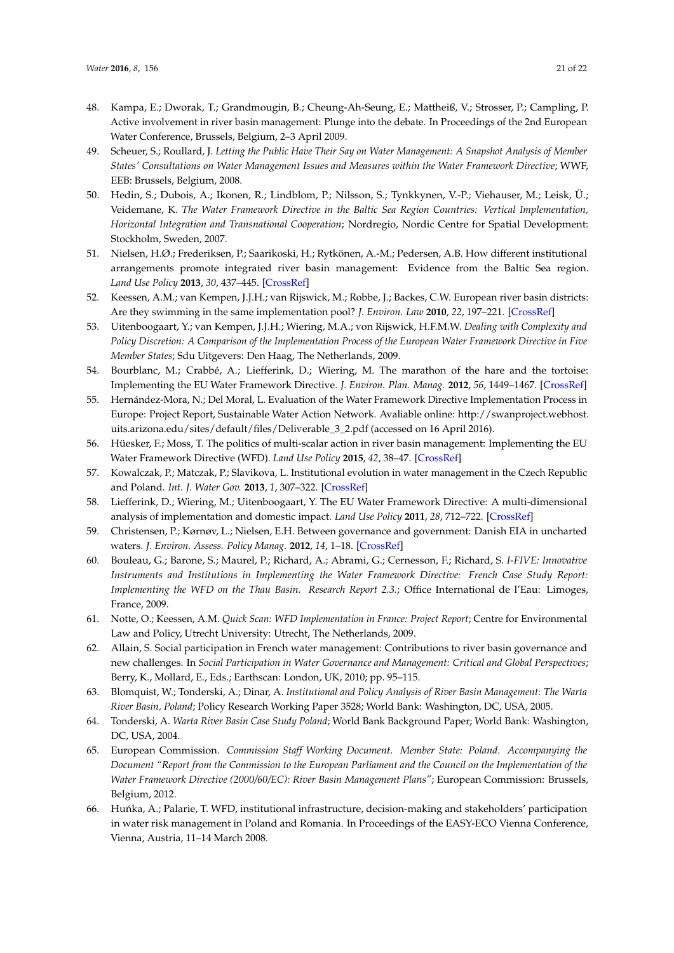- <span id="page-20-0"></span>48. Kampa, E.; Dworak, T.; Grandmougin, B.; Cheung-Ah-Seung, E.; Mattheiß, V.; Strosser, P.; Campling, P. Active involvement in river basin management: Plunge into the debate. In Proceedings of the 2nd European Water Conference, Brussels, Belgium, 2–3 April 2009.
- <span id="page-20-1"></span>49. Scheuer, S.; Roullard, J. *Letting the Public Have Their Say on Water Management: A Snapshot Analysis of Member States' Consultations on Water Management Issues and Measures within the Water Framework Directive*; WWF, EEB: Brussels, Belgium, 2008.
- <span id="page-20-2"></span>50. Hedin, S.; Dubois, A.; Ikonen, R.; Lindblom, P.; Nilsson, S.; Tynkkynen, V.-P.; Viehauser, M.; Leisk, Ü.; Veidemane, K. *The Water Framework Directive in the Baltic Sea Region Countries: Vertical Implementation, Horizontal Integration and Transnational Cooperation*; Nordregio, Nordic Centre for Spatial Development: Stockholm, Sweden, 2007.
- <span id="page-20-3"></span>51. Nielsen, H.Ø.; Frederiksen, P.; Saarikoski, H.; Rytkönen, A.-M.; Pedersen, A.B. How different institutional arrangements promote integrated river basin management: Evidence from the Baltic Sea region. *Land Use Policy* **2013**, *30*, 437–445. [\[CrossRef\]](http://dx.doi.org/10.1016/j.landusepol.2012.04.011)
- <span id="page-20-4"></span>52. Keessen, A.M.; van Kempen, J.J.H.; van Rijswick, M.; Robbe, J.; Backes, C.W. European river basin districts: Are they swimming in the same implementation pool? *J. Environ. Law* **2010**, *22*, 197–221. [\[CrossRef\]](http://dx.doi.org/10.1093/jel/eqq003)
- <span id="page-20-5"></span>53. Uitenboogaart, Y.; van Kempen, J.J.H.; Wiering, M.A.; von Rijswick, H.F.M.W. *Dealing with Complexity and Policy Discretion: A Comparison of the Implementation Process of the European Water Framework Directive in Five Member States*; Sdu Uitgevers: Den Haag, The Netherlands, 2009.
- <span id="page-20-6"></span>54. Bourblanc, M.; Crabbé, A.; Liefferink, D.; Wiering, M. The marathon of the hare and the tortoise: Implementing the EU Water Framework Directive. *J. Environ. Plan. Manag.* **2012**, *56*, 1449–1467. [\[CrossRef\]](http://dx.doi.org/10.1080/09640568.2012.726197)
- <span id="page-20-7"></span>55. Hernández-Mora, N.; Del Moral, L. Evaluation of the Water Framework Directive Implementation Process in Europe: Project Report, Sustainable Water Action Network. Avaliable online: http://swanproject.webhost. uits.arizona.edu/sites/default/files/Deliverable\_3\_2.pdf (accessed on 16 April 2016).
- 56. Hüesker, F.; Moss, T. The politics of multi-scalar action in river basin management: Implementing the EU Water Framework Directive (WFD). *Land Use Policy* **2015**, *42*, 38–47. [\[CrossRef\]](http://dx.doi.org/10.1016/j.landusepol.2014.07.003)
- <span id="page-20-16"></span>57. Kowalczak, P.; Matczak, P.; Slavikova, L. Institutional evolution in water management in the Czech Republic and Poland. *Int. J. Water Gov.* **2013**, *1*, 307–322. [\[CrossRef\]](http://dx.doi.org/10.7564/13-IJWG8)
- <span id="page-20-8"></span>58. Liefferink, D.; Wiering, M.; Uitenboogaart, Y. The EU Water Framework Directive: A multi-dimensional analysis of implementation and domestic impact. *Land Use Policy* **2011**, *28*, 712–722. [\[CrossRef\]](http://dx.doi.org/10.1016/j.landusepol.2010.12.006)
- <span id="page-20-9"></span>59. Christensen, P.; Kørnøv, L.; Nielsen, E.H. Between governance and government: Danish EIA in uncharted waters. *J. Environ. Assess. Policy Manag.* **2012**, *14*, 1–18. [\[CrossRef\]](http://dx.doi.org/10.1142/S1464333212500214)
- <span id="page-20-10"></span>60. Bouleau, G.; Barone, S.; Maurel, P.; Richard, A.; Abrami, G.; Cernesson, F.; Richard, S. *I-FIVE: Innovative Instruments and Institutions in Implementing the Water Framework Directive: French Case Study Report: Implementing the WFD on the Thau Basin. Research Report 2.3.*; Office International de l'Eau: Limoges, France, 2009.
- <span id="page-20-11"></span>61. Notte, O.; Keessen, A.M. *Quick Scan: WFD Implementation in France: Project Report*; Centre for Environmental Law and Policy, Utrecht University: Utrecht, The Netherlands, 2009.
- <span id="page-20-12"></span>62. Allain, S. Social participation in French water management: Contributions to river basin governance and new challenges. In *Social Participation in Water Governance and Management: Critical and Global Perspectives*; Berry, K., Mollard, E., Eds.; Earthscan: London, UK, 2010; pp. 95–115.
- <span id="page-20-13"></span>63. Blomquist, W.; Tonderski, A.; Dinar, A. *Institutional and Policy Analysis of River Basin Management: The Warta River Basin, Poland*; Policy Research Working Paper 3528; World Bank: Washington, DC, USA, 2005.
- <span id="page-20-14"></span>64. Tonderski, A. *Warta River Basin Case Study Poland*; World Bank Background Paper; World Bank: Washington, DC, USA, 2004.
- <span id="page-20-15"></span>65. European Commission. *Commission Staff Working Document. Member State: Poland. Accompanying the Document "Report from the Commission to the European Parliament and the Council on the Implementation of the Water Framework Directive (2000/60/EC): River Basin Management Plans"*; European Commission: Brussels, Belgium, 2012.
- <span id="page-20-17"></span>66. Huńka, A.; Palarie, T. WFD, institutional infrastructure, decision-making and stakeholders' participation in water risk management in Poland and Romania. In Proceedings of the EASY-ECO Vienna Conference, Vienna, Austria, 11–14 March 2008.